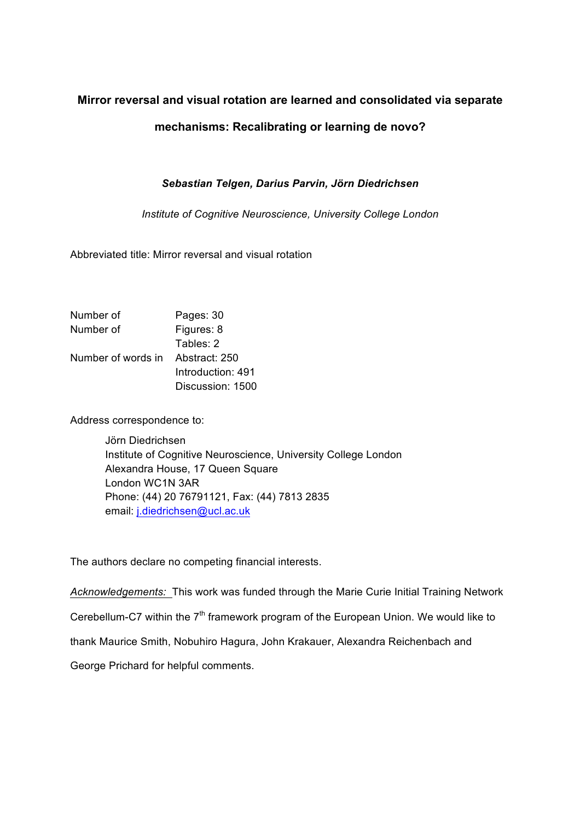# **Mirror reversal and visual rotation are learned and consolidated via separate**

# **mechanisms: Recalibrating or learning de novo?**

# *Sebastian Telgen, Darius Parvin, Jörn Diedrichsen*

*Institute of Cognitive Neuroscience, University College London*

Abbreviated title: Mirror reversal and visual rotation

| Number of          | Pages: 30         |  |  |  |
|--------------------|-------------------|--|--|--|
| Number of          | Figures: 8        |  |  |  |
|                    | Tables: 2         |  |  |  |
| Number of words in | Abstract: 250     |  |  |  |
|                    | Introduction: 491 |  |  |  |
|                    | Discussion: 1500  |  |  |  |

Address correspondence to:

Jörn Diedrichsen Institute of Cognitive Neuroscience, University College London Alexandra House, 17 Queen Square London WC1N 3AR Phone: (44) 20 76791121, Fax: (44) 7813 2835 email: j.diedrichsen@ucl.ac.uk

The authors declare no competing financial interests.

*Acknowledgements:* This work was funded through the Marie Curie Initial Training Network Cerebellum-C7 within the 7<sup>th</sup> framework program of the European Union. We would like to thank Maurice Smith, Nobuhiro Hagura, John Krakauer, Alexandra Reichenbach and George Prichard for helpful comments.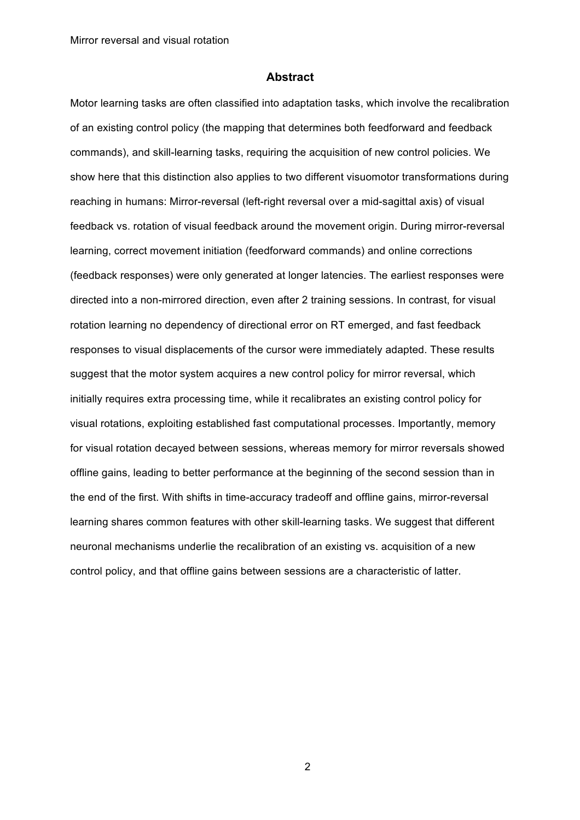#### **Abstract**

Motor learning tasks are often classified into adaptation tasks, which involve the recalibration of an existing control policy (the mapping that determines both feedforward and feedback commands), and skill-learning tasks, requiring the acquisition of new control policies. We show here that this distinction also applies to two different visuomotor transformations during reaching in humans: Mirror-reversal (left-right reversal over a mid-sagittal axis) of visual feedback vs. rotation of visual feedback around the movement origin. During mirror-reversal learning, correct movement initiation (feedforward commands) and online corrections (feedback responses) were only generated at longer latencies. The earliest responses were directed into a non-mirrored direction, even after 2 training sessions. In contrast, for visual rotation learning no dependency of directional error on RT emerged, and fast feedback responses to visual displacements of the cursor were immediately adapted. These results suggest that the motor system acquires a new control policy for mirror reversal, which initially requires extra processing time, while it recalibrates an existing control policy for visual rotations, exploiting established fast computational processes. Importantly, memory for visual rotation decayed between sessions, whereas memory for mirror reversals showed offline gains, leading to better performance at the beginning of the second session than in the end of the first. With shifts in time-accuracy tradeoff and offline gains, mirror-reversal learning shares common features with other skill-learning tasks. We suggest that different neuronal mechanisms underlie the recalibration of an existing vs. acquisition of a new control policy, and that offline gains between sessions are a characteristic of latter.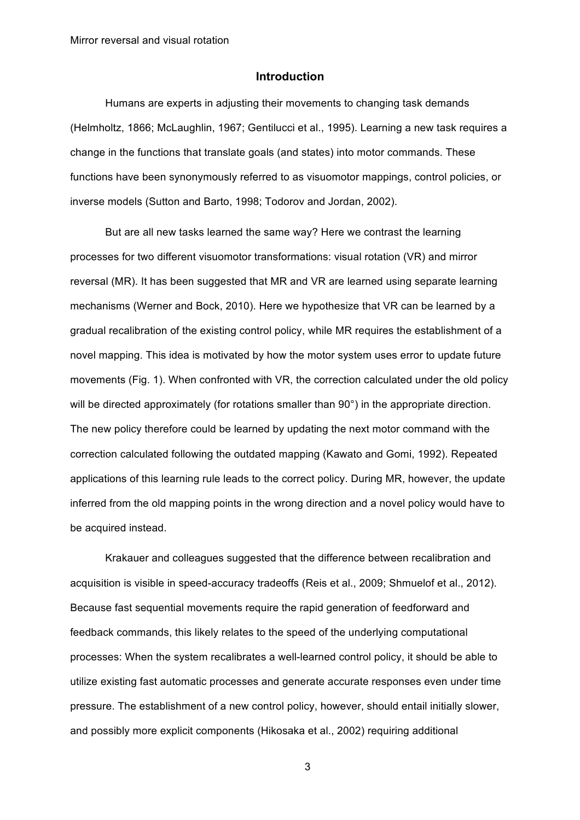## **Introduction**

Humans are experts in adjusting their movements to changing task demands (Helmholtz, 1866; McLaughlin, 1967; Gentilucci et al., 1995). Learning a new task requires a change in the functions that translate goals (and states) into motor commands. These functions have been synonymously referred to as visuomotor mappings, control policies, or inverse models (Sutton and Barto, 1998; Todorov and Jordan, 2002).

But are all new tasks learned the same way? Here we contrast the learning processes for two different visuomotor transformations: visual rotation (VR) and mirror reversal (MR). It has been suggested that MR and VR are learned using separate learning mechanisms (Werner and Bock, 2010). Here we hypothesize that VR can be learned by a gradual recalibration of the existing control policy, while MR requires the establishment of a novel mapping. This idea is motivated by how the motor system uses error to update future movements (Fig. 1). When confronted with VR, the correction calculated under the old policy will be directed approximately (for rotations smaller than 90°) in the appropriate direction. The new policy therefore could be learned by updating the next motor command with the correction calculated following the outdated mapping (Kawato and Gomi, 1992). Repeated applications of this learning rule leads to the correct policy. During MR, however, the update inferred from the old mapping points in the wrong direction and a novel policy would have to be acquired instead.

Krakauer and colleagues suggested that the difference between recalibration and acquisition is visible in speed-accuracy tradeoffs (Reis et al., 2009; Shmuelof et al., 2012). Because fast sequential movements require the rapid generation of feedforward and feedback commands, this likely relates to the speed of the underlying computational processes: When the system recalibrates a well-learned control policy, it should be able to utilize existing fast automatic processes and generate accurate responses even under time pressure. The establishment of a new control policy, however, should entail initially slower, and possibly more explicit components (Hikosaka et al., 2002) requiring additional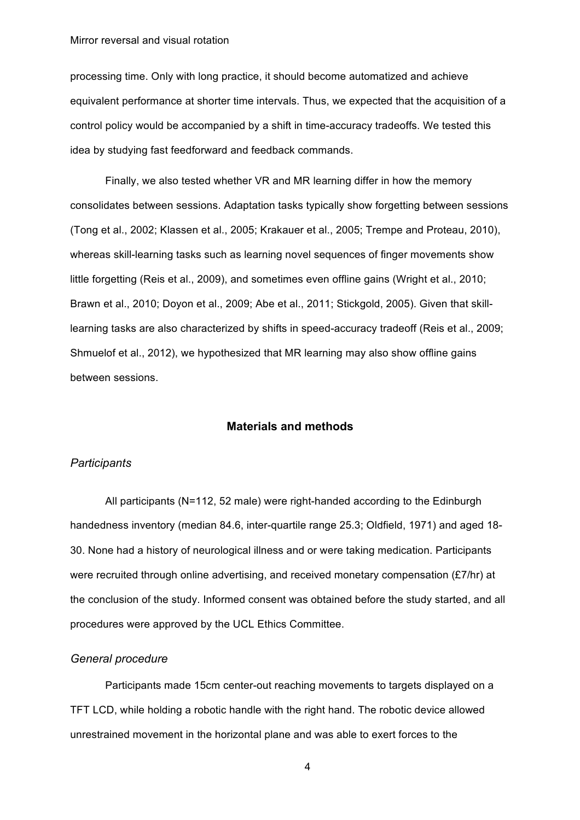processing time. Only with long practice, it should become automatized and achieve equivalent performance at shorter time intervals. Thus, we expected that the acquisition of a control policy would be accompanied by a shift in time-accuracy tradeoffs. We tested this idea by studying fast feedforward and feedback commands.

Finally, we also tested whether VR and MR learning differ in how the memory consolidates between sessions. Adaptation tasks typically show forgetting between sessions (Tong et al., 2002; Klassen et al., 2005; Krakauer et al., 2005; Trempe and Proteau, 2010), whereas skill-learning tasks such as learning novel sequences of finger movements show little forgetting (Reis et al., 2009), and sometimes even offline gains (Wright et al., 2010; Brawn et al., 2010; Doyon et al., 2009; Abe et al., 2011; Stickgold, 2005). Given that skilllearning tasks are also characterized by shifts in speed-accuracy tradeoff (Reis et al., 2009; Shmuelof et al., 2012), we hypothesized that MR learning may also show offline gains between sessions.

## **Materials and methods**

## *Participants*

All participants (N=112, 52 male) were right-handed according to the Edinburgh handedness inventory (median 84.6, inter-quartile range 25.3; Oldfield, 1971) and aged 18- 30. None had a history of neurological illness and or were taking medication. Participants were recruited through online advertising, and received monetary compensation (£7/hr) at the conclusion of the study. Informed consent was obtained before the study started, and all procedures were approved by the UCL Ethics Committee.

### *General procedure*

Participants made 15cm center-out reaching movements to targets displayed on a TFT LCD, while holding a robotic handle with the right hand. The robotic device allowed unrestrained movement in the horizontal plane and was able to exert forces to the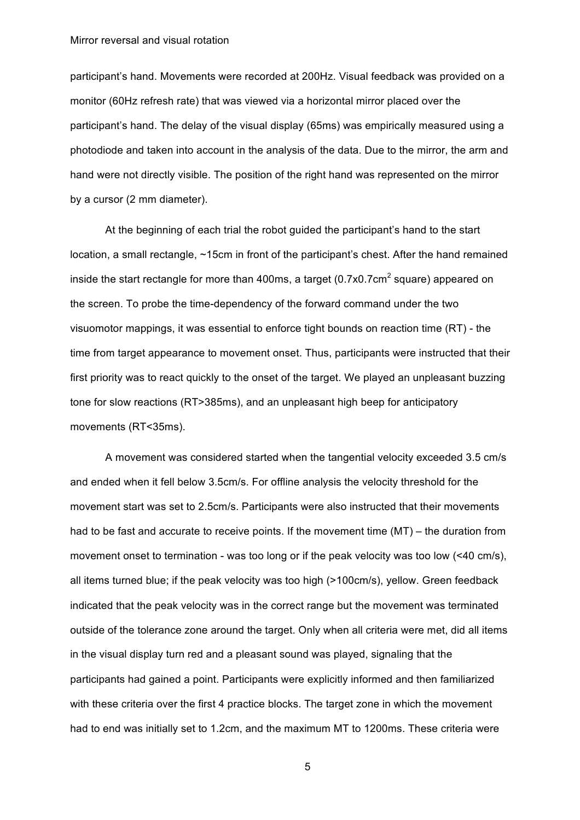participant's hand. Movements were recorded at 200Hz. Visual feedback was provided on a monitor (60Hz refresh rate) that was viewed via a horizontal mirror placed over the participant's hand. The delay of the visual display (65ms) was empirically measured using a photodiode and taken into account in the analysis of the data. Due to the mirror, the arm and hand were not directly visible. The position of the right hand was represented on the mirror by a cursor (2 mm diameter).

At the beginning of each trial the robot guided the participant's hand to the start location, a small rectangle, ~15cm in front of the participant's chest. After the hand remained inside the start rectangle for more than 400ms, a target  $(0.7x0.7cm^2)$  square) appeared on the screen. To probe the time-dependency of the forward command under the two visuomotor mappings, it was essential to enforce tight bounds on reaction time (RT) - the time from target appearance to movement onset. Thus, participants were instructed that their first priority was to react quickly to the onset of the target. We played an unpleasant buzzing tone for slow reactions (RT>385ms), and an unpleasant high beep for anticipatory movements (RT<35ms).

A movement was considered started when the tangential velocity exceeded 3.5 cm/s and ended when it fell below 3.5cm/s. For offline analysis the velocity threshold for the movement start was set to 2.5cm/s. Participants were also instructed that their movements had to be fast and accurate to receive points. If the movement time (MT) – the duration from movement onset to termination - was too long or if the peak velocity was too low (<40 cm/s), all items turned blue; if the peak velocity was too high (>100cm/s), yellow. Green feedback indicated that the peak velocity was in the correct range but the movement was terminated outside of the tolerance zone around the target. Only when all criteria were met, did all items in the visual display turn red and a pleasant sound was played, signaling that the participants had gained a point. Participants were explicitly informed and then familiarized with these criteria over the first 4 practice blocks. The target zone in which the movement had to end was initially set to 1.2cm, and the maximum MT to 1200ms. These criteria were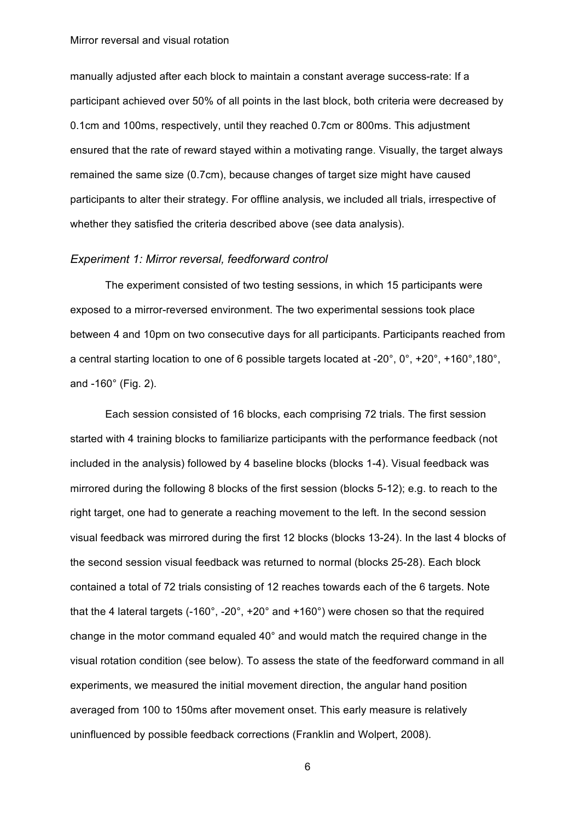manually adjusted after each block to maintain a constant average success-rate: If a participant achieved over 50% of all points in the last block, both criteria were decreased by 0.1cm and 100ms, respectively, until they reached 0.7cm or 800ms. This adjustment ensured that the rate of reward stayed within a motivating range. Visually, the target always remained the same size (0.7cm), because changes of target size might have caused participants to alter their strategy. For offline analysis, we included all trials, irrespective of whether they satisfied the criteria described above (see data analysis).

#### *Experiment 1: Mirror reversal, feedforward control*

The experiment consisted of two testing sessions, in which 15 participants were exposed to a mirror-reversed environment. The two experimental sessions took place between 4 and 10pm on two consecutive days for all participants. Participants reached from a central starting location to one of 6 possible targets located at -20°, 0°, +20°, +160°,180°, and -160° (Fig. 2).

Each session consisted of 16 blocks, each comprising 72 trials. The first session started with 4 training blocks to familiarize participants with the performance feedback (not included in the analysis) followed by 4 baseline blocks (blocks 1-4). Visual feedback was mirrored during the following 8 blocks of the first session (blocks 5-12); e.g. to reach to the right target, one had to generate a reaching movement to the left. In the second session visual feedback was mirrored during the first 12 blocks (blocks 13-24). In the last 4 blocks of the second session visual feedback was returned to normal (blocks 25-28). Each block contained a total of 72 trials consisting of 12 reaches towards each of the 6 targets. Note that the 4 lateral targets (-160°, -20°, +20° and +160°) were chosen so that the required change in the motor command equaled 40° and would match the required change in the visual rotation condition (see below). To assess the state of the feedforward command in all experiments, we measured the initial movement direction, the angular hand position averaged from 100 to 150ms after movement onset. This early measure is relatively uninfluenced by possible feedback corrections (Franklin and Wolpert, 2008).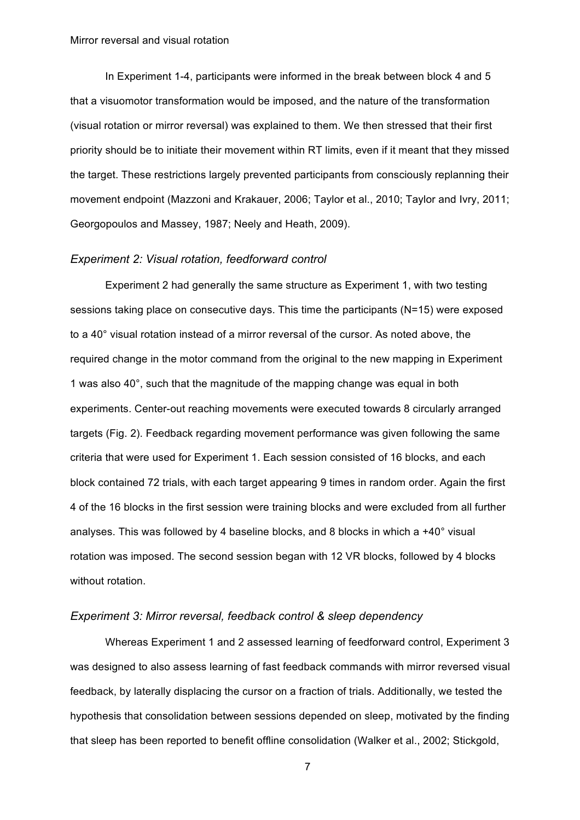In Experiment 1-4, participants were informed in the break between block 4 and 5 that a visuomotor transformation would be imposed, and the nature of the transformation (visual rotation or mirror reversal) was explained to them. We then stressed that their first priority should be to initiate their movement within RT limits, even if it meant that they missed the target. These restrictions largely prevented participants from consciously replanning their movement endpoint (Mazzoni and Krakauer, 2006; Taylor et al., 2010; Taylor and Ivry, 2011; Georgopoulos and Massey, 1987; Neely and Heath, 2009).

#### *Experiment 2: Visual rotation, feedforward control*

Experiment 2 had generally the same structure as Experiment 1, with two testing sessions taking place on consecutive days. This time the participants (N=15) were exposed to a 40° visual rotation instead of a mirror reversal of the cursor. As noted above, the required change in the motor command from the original to the new mapping in Experiment 1 was also 40°, such that the magnitude of the mapping change was equal in both experiments. Center-out reaching movements were executed towards 8 circularly arranged targets (Fig. 2). Feedback regarding movement performance was given following the same criteria that were used for Experiment 1. Each session consisted of 16 blocks, and each block contained 72 trials, with each target appearing 9 times in random order. Again the first 4 of the 16 blocks in the first session were training blocks and were excluded from all further analyses. This was followed by 4 baseline blocks, and 8 blocks in which a +40° visual rotation was imposed. The second session began with 12 VR blocks, followed by 4 blocks without rotation.

## *Experiment 3: Mirror reversal, feedback control & sleep dependency*

Whereas Experiment 1 and 2 assessed learning of feedforward control, Experiment 3 was designed to also assess learning of fast feedback commands with mirror reversed visual feedback, by laterally displacing the cursor on a fraction of trials. Additionally, we tested the hypothesis that consolidation between sessions depended on sleep, motivated by the finding that sleep has been reported to benefit offline consolidation (Walker et al., 2002; Stickgold,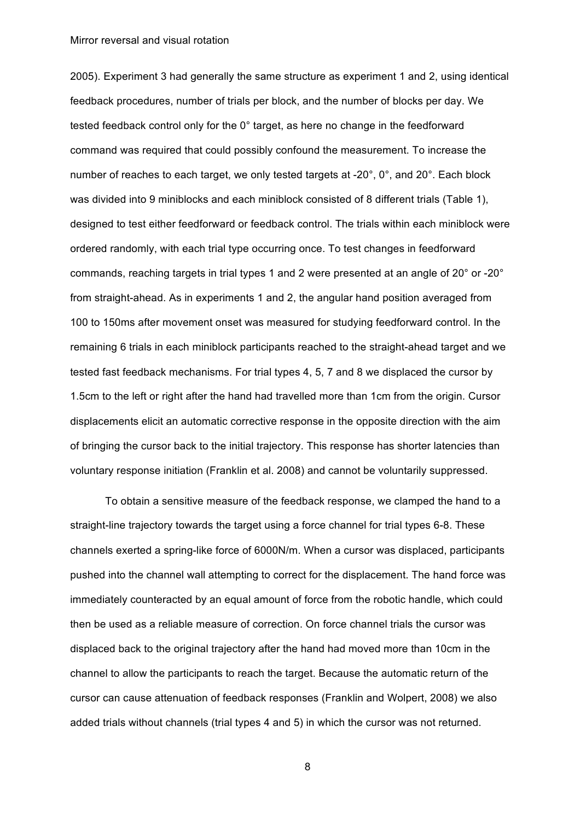2005). Experiment 3 had generally the same structure as experiment 1 and 2, using identical feedback procedures, number of trials per block, and the number of blocks per day. We tested feedback control only for the 0° target, as here no change in the feedforward command was required that could possibly confound the measurement. To increase the number of reaches to each target, we only tested targets at -20°, 0°, and 20°. Each block was divided into 9 miniblocks and each miniblock consisted of 8 different trials (Table 1), designed to test either feedforward or feedback control. The trials within each miniblock were ordered randomly, with each trial type occurring once. To test changes in feedforward commands, reaching targets in trial types 1 and 2 were presented at an angle of 20° or -20° from straight-ahead. As in experiments 1 and 2, the angular hand position averaged from 100 to 150ms after movement onset was measured for studying feedforward control. In the remaining 6 trials in each miniblock participants reached to the straight-ahead target and we tested fast feedback mechanisms. For trial types 4, 5, 7 and 8 we displaced the cursor by 1.5cm to the left or right after the hand had travelled more than 1cm from the origin. Cursor displacements elicit an automatic corrective response in the opposite direction with the aim of bringing the cursor back to the initial trajectory. This response has shorter latencies than voluntary response initiation (Franklin et al. 2008) and cannot be voluntarily suppressed.

To obtain a sensitive measure of the feedback response, we clamped the hand to a straight-line trajectory towards the target using a force channel for trial types 6-8. These channels exerted a spring-like force of 6000N/m. When a cursor was displaced, participants pushed into the channel wall attempting to correct for the displacement. The hand force was immediately counteracted by an equal amount of force from the robotic handle, which could then be used as a reliable measure of correction. On force channel trials the cursor was displaced back to the original trajectory after the hand had moved more than 10cm in the channel to allow the participants to reach the target. Because the automatic return of the cursor can cause attenuation of feedback responses (Franklin and Wolpert, 2008) we also added trials without channels (trial types 4 and 5) in which the cursor was not returned.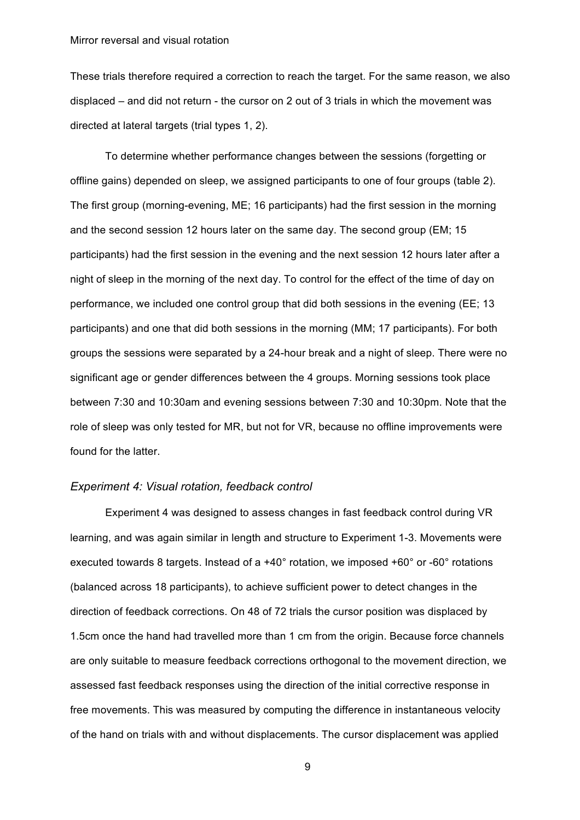These trials therefore required a correction to reach the target. For the same reason, we also displaced – and did not return - the cursor on 2 out of 3 trials in which the movement was directed at lateral targets (trial types 1, 2).

To determine whether performance changes between the sessions (forgetting or offline gains) depended on sleep, we assigned participants to one of four groups (table 2). The first group (morning-evening, ME; 16 participants) had the first session in the morning and the second session 12 hours later on the same day. The second group (EM; 15 participants) had the first session in the evening and the next session 12 hours later after a night of sleep in the morning of the next day. To control for the effect of the time of day on performance, we included one control group that did both sessions in the evening (EE; 13 participants) and one that did both sessions in the morning (MM; 17 participants). For both groups the sessions were separated by a 24-hour break and a night of sleep. There were no significant age or gender differences between the 4 groups. Morning sessions took place between 7:30 and 10:30am and evening sessions between 7:30 and 10:30pm. Note that the role of sleep was only tested for MR, but not for VR, because no offline improvements were found for the latter.

## *Experiment 4: Visual rotation, feedback control*

Experiment 4 was designed to assess changes in fast feedback control during VR learning, and was again similar in length and structure to Experiment 1-3. Movements were executed towards 8 targets. Instead of a +40° rotation, we imposed +60° or -60° rotations (balanced across 18 participants), to achieve sufficient power to detect changes in the direction of feedback corrections. On 48 of 72 trials the cursor position was displaced by 1.5cm once the hand had travelled more than 1 cm from the origin. Because force channels are only suitable to measure feedback corrections orthogonal to the movement direction, we assessed fast feedback responses using the direction of the initial corrective response in free movements. This was measured by computing the difference in instantaneous velocity of the hand on trials with and without displacements. The cursor displacement was applied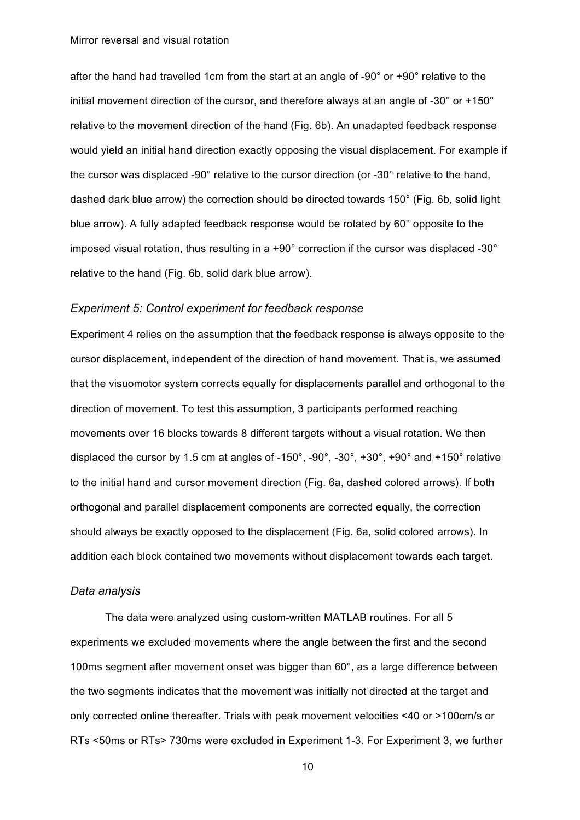after the hand had travelled 1cm from the start at an angle of -90° or +90° relative to the initial movement direction of the cursor, and therefore always at an angle of -30° or +150° relative to the movement direction of the hand (Fig. 6b). An unadapted feedback response would yield an initial hand direction exactly opposing the visual displacement. For example if the cursor was displaced -90° relative to the cursor direction (or -30° relative to the hand, dashed dark blue arrow) the correction should be directed towards 150° (Fig. 6b, solid light blue arrow). A fully adapted feedback response would be rotated by 60° opposite to the imposed visual rotation, thus resulting in a +90° correction if the cursor was displaced -30° relative to the hand (Fig. 6b, solid dark blue arrow).

### *Experiment 5: Control experiment for feedback response*

Experiment 4 relies on the assumption that the feedback response is always opposite to the cursor displacement, independent of the direction of hand movement. That is, we assumed that the visuomotor system corrects equally for displacements parallel and orthogonal to the direction of movement. To test this assumption, 3 participants performed reaching movements over 16 blocks towards 8 different targets without a visual rotation. We then displaced the cursor by 1.5 cm at angles of -150°, -90°, -30°, +30°, +90° and +150° relative to the initial hand and cursor movement direction (Fig. 6a, dashed colored arrows). If both orthogonal and parallel displacement components are corrected equally, the correction should always be exactly opposed to the displacement (Fig. 6a, solid colored arrows). In addition each block contained two movements without displacement towards each target.

## *Data analysis*

The data were analyzed using custom-written MATLAB routines. For all 5 experiments we excluded movements where the angle between the first and the second 100ms segment after movement onset was bigger than 60°, as a large difference between the two segments indicates that the movement was initially not directed at the target and only corrected online thereafter. Trials with peak movement velocities <40 or >100cm/s or RTs <50ms or RTs> 730ms were excluded in Experiment 1-3. For Experiment 3, we further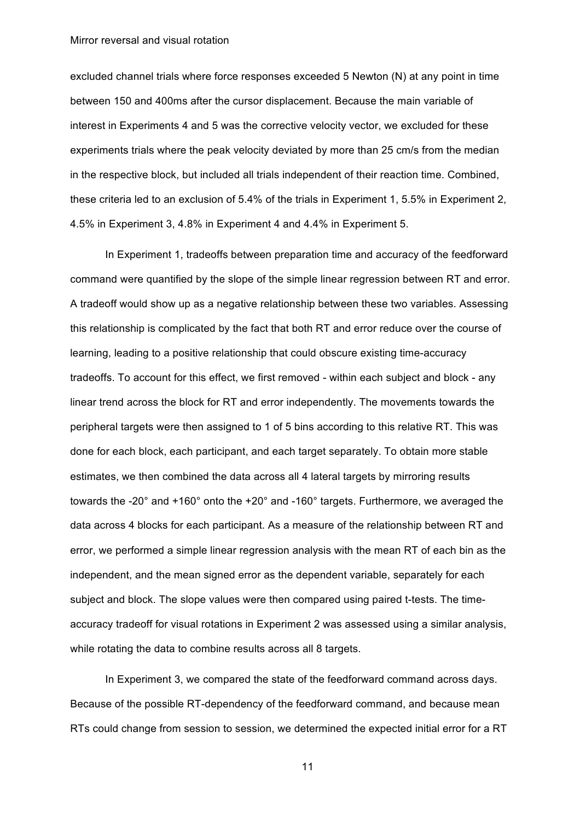excluded channel trials where force responses exceeded 5 Newton (N) at any point in time between 150 and 400ms after the cursor displacement. Because the main variable of interest in Experiments 4 and 5 was the corrective velocity vector, we excluded for these experiments trials where the peak velocity deviated by more than 25 cm/s from the median in the respective block, but included all trials independent of their reaction time. Combined, these criteria led to an exclusion of 5.4% of the trials in Experiment 1, 5.5% in Experiment 2, 4.5% in Experiment 3, 4.8% in Experiment 4 and 4.4% in Experiment 5.

In Experiment 1, tradeoffs between preparation time and accuracy of the feedforward command were quantified by the slope of the simple linear regression between RT and error. A tradeoff would show up as a negative relationship between these two variables. Assessing this relationship is complicated by the fact that both RT and error reduce over the course of learning, leading to a positive relationship that could obscure existing time-accuracy tradeoffs. To account for this effect, we first removed - within each subject and block - any linear trend across the block for RT and error independently. The movements towards the peripheral targets were then assigned to 1 of 5 bins according to this relative RT. This was done for each block, each participant, and each target separately. To obtain more stable estimates, we then combined the data across all 4 lateral targets by mirroring results towards the -20° and +160° onto the +20° and -160° targets. Furthermore, we averaged the data across 4 blocks for each participant. As a measure of the relationship between RT and error, we performed a simple linear regression analysis with the mean RT of each bin as the independent, and the mean signed error as the dependent variable, separately for each subject and block. The slope values were then compared using paired t-tests. The timeaccuracy tradeoff for visual rotations in Experiment 2 was assessed using a similar analysis, while rotating the data to combine results across all 8 targets.

In Experiment 3, we compared the state of the feedforward command across days. Because of the possible RT-dependency of the feedforward command, and because mean RTs could change from session to session, we determined the expected initial error for a RT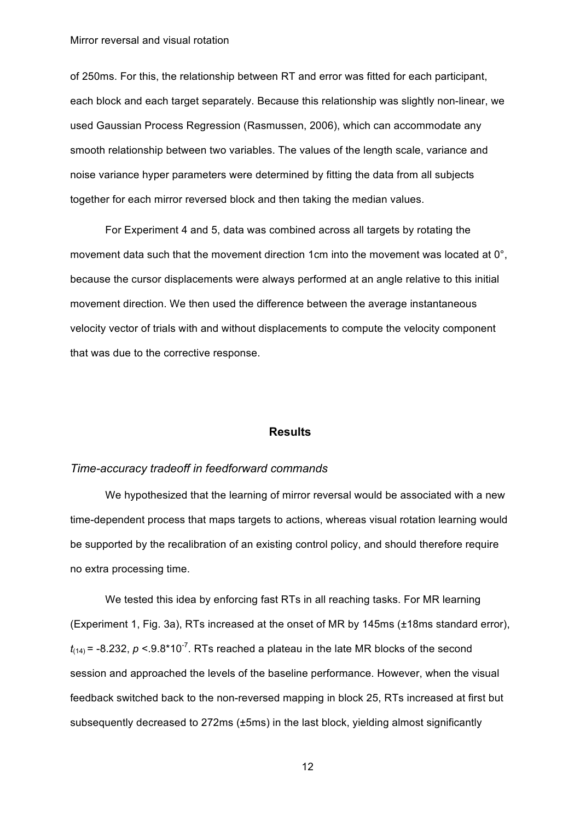of 250ms. For this, the relationship between RT and error was fitted for each participant, each block and each target separately. Because this relationship was slightly non-linear, we used Gaussian Process Regression (Rasmussen, 2006), which can accommodate any smooth relationship between two variables. The values of the length scale, variance and noise variance hyper parameters were determined by fitting the data from all subjects together for each mirror reversed block and then taking the median values.

For Experiment 4 and 5, data was combined across all targets by rotating the movement data such that the movement direction 1cm into the movement was located at 0°, because the cursor displacements were always performed at an angle relative to this initial movement direction. We then used the difference between the average instantaneous velocity vector of trials with and without displacements to compute the velocity component that was due to the corrective response.

## **Results**

#### *Time-accuracy tradeoff in feedforward commands*

We hypothesized that the learning of mirror reversal would be associated with a new time-dependent process that maps targets to actions, whereas visual rotation learning would be supported by the recalibration of an existing control policy, and should therefore require no extra processing time.

We tested this idea by enforcing fast RTs in all reaching tasks. For MR learning (Experiment 1, Fig. 3a), RTs increased at the onset of MR by 145ms (±18ms standard error),  $t_{(14)}$ = -8.232,  $p < 9.8*10^{-7}$ . RTs reached a plateau in the late MR blocks of the second session and approached the levels of the baseline performance. However, when the visual feedback switched back to the non-reversed mapping in block 25, RTs increased at first but subsequently decreased to 272ms (±5ms) in the last block, yielding almost significantly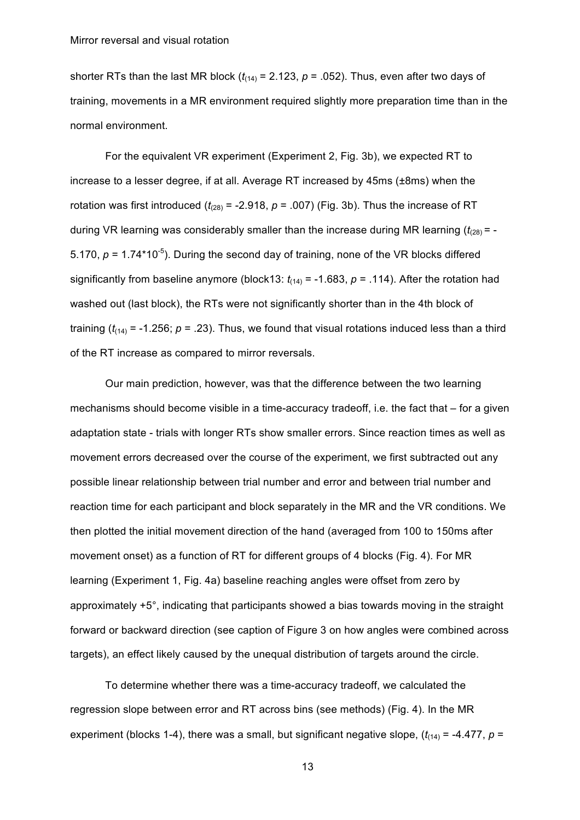shorter RTs than the last MR block  $(t_{(14)} = 2.123, p = .052)$ . Thus, even after two days of training, movements in a MR environment required slightly more preparation time than in the normal environment.

For the equivalent VR experiment (Experiment 2, Fig. 3b), we expected RT to increase to a lesser degree, if at all. Average RT increased by 45ms (±8ms) when the rotation was first introduced  $(t_{(28)} = -2.918, p = .007)$  (Fig. 3b). Thus the increase of RT during VR learning was considerably smaller than the increase during MR learning  $(t_{(28)} = -$ 5.170,  $p = 1.74*10^{-5}$ ). During the second day of training, none of the VR blocks differed significantly from baseline anymore (block13:  $t_{(14)} = -1.683$ ,  $p = .114$ ). After the rotation had washed out (last block), the RTs were not significantly shorter than in the 4th block of training ( $t_{(14)}$  = -1.256;  $p = 0.23$ ). Thus, we found that visual rotations induced less than a third of the RT increase as compared to mirror reversals.

Our main prediction, however, was that the difference between the two learning mechanisms should become visible in a time-accuracy tradeoff, i.e. the fact that – for a given adaptation state - trials with longer RTs show smaller errors. Since reaction times as well as movement errors decreased over the course of the experiment, we first subtracted out any possible linear relationship between trial number and error and between trial number and reaction time for each participant and block separately in the MR and the VR conditions. We then plotted the initial movement direction of the hand (averaged from 100 to 150ms after movement onset) as a function of RT for different groups of 4 blocks (Fig. 4). For MR learning (Experiment 1, Fig. 4a) baseline reaching angles were offset from zero by approximately +5°, indicating that participants showed a bias towards moving in the straight forward or backward direction (see caption of Figure 3 on how angles were combined across targets), an effect likely caused by the unequal distribution of targets around the circle.

To determine whether there was a time-accuracy tradeoff, we calculated the regression slope between error and RT across bins (see methods) (Fig. 4). In the MR experiment (blocks 1-4), there was a small, but significant negative slope,  $(t_{(14)} = -4.477, p =$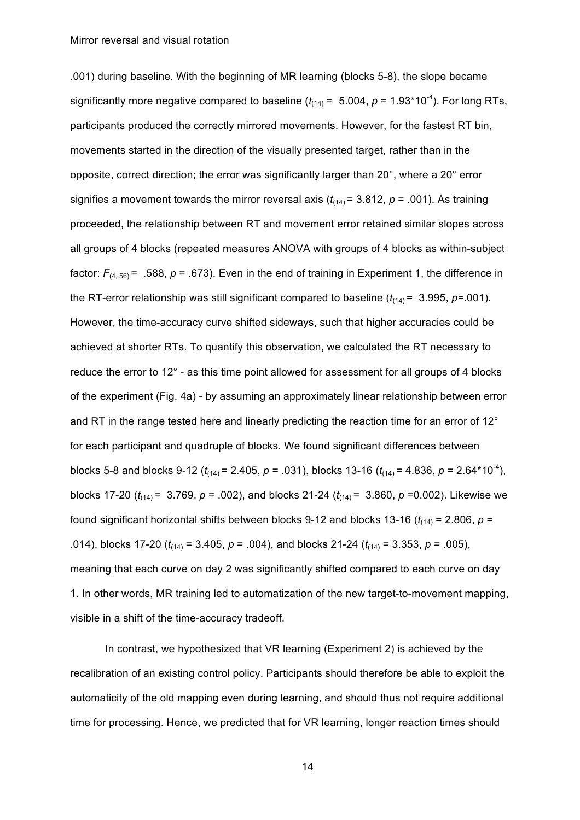.001) during baseline. With the beginning of MR learning (blocks 5-8), the slope became significantly more negative compared to baseline  $(t_{(14)} = 5.004, p = 1.93*10<sup>-4</sup>)$ . For long RTs, participants produced the correctly mirrored movements. However, for the fastest RT bin, movements started in the direction of the visually presented target, rather than in the opposite, correct direction; the error was significantly larger than 20°, where a 20° error signifies a movement towards the mirror reversal axis  $(t_{(14)} = 3.812, p = .001)$ . As training proceeded, the relationship between RT and movement error retained similar slopes across all groups of 4 blocks (repeated measures ANOVA with groups of 4 blocks as within-subject factor:  $F_{(4, 56)} = .588$ ,  $p = .673$ ). Even in the end of training in Experiment 1, the difference in the RT-error relationship was still significant compared to baseline  $(t_{(14)} = 3.995, p = .001)$ . However, the time-accuracy curve shifted sideways, such that higher accuracies could be achieved at shorter RTs. To quantify this observation, we calculated the RT necessary to reduce the error to 12° - as this time point allowed for assessment for all groups of 4 blocks of the experiment (Fig. 4a) - by assuming an approximately linear relationship between error and RT in the range tested here and linearly predicting the reaction time for an error of 12° for each participant and quadruple of blocks. We found significant differences between blocks 5-8 and blocks 9-12 ( $t_{(14)}$  = 2.405,  $p = .031$ ), blocks 13-16 ( $t_{(14)}$  = 4.836,  $p = 2.64*10^{-4}$ ), blocks 17-20 (*t*(14) = 3.769, *p* = .002), and blocks 21-24 (*t*(14) = 3.860, *p* =0.002). Likewise we found significant horizontal shifts between blocks 9-12 and blocks 13-16 ( $t_{(14)}$  = 2.806,  $p =$ .014), blocks 17-20 (*t*(14) = 3.405, *p* = .004), and blocks 21-24 (*t*(14) = 3.353, *p* = .005), meaning that each curve on day 2 was significantly shifted compared to each curve on day 1. In other words, MR training led to automatization of the new target-to-movement mapping, visible in a shift of the time-accuracy tradeoff.

In contrast, we hypothesized that VR learning (Experiment 2) is achieved by the recalibration of an existing control policy. Participants should therefore be able to exploit the automaticity of the old mapping even during learning, and should thus not require additional time for processing. Hence, we predicted that for VR learning, longer reaction times should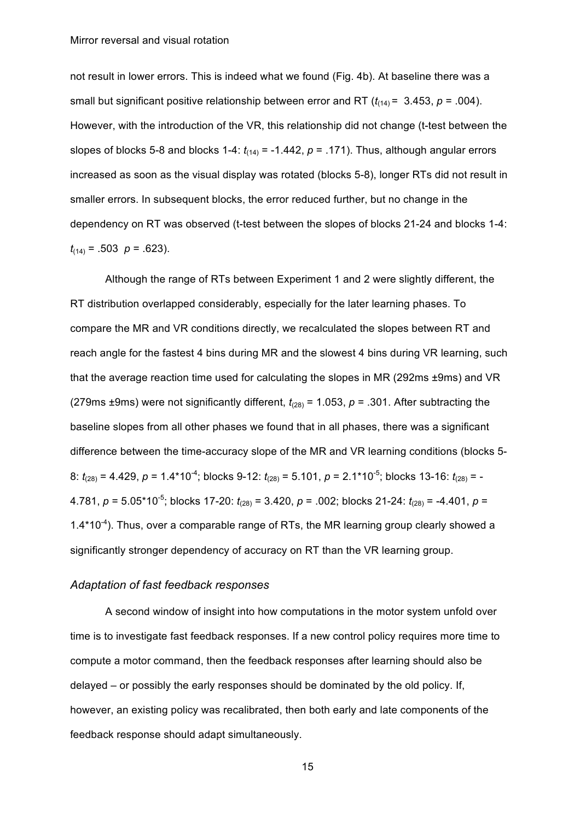not result in lower errors. This is indeed what we found (Fig. 4b). At baseline there was a small but significant positive relationship between error and RT  $(t_{(14)} = 3.453, p = .004)$ . However, with the introduction of the VR, this relationship did not change (t-test between the slopes of blocks 5-8 and blocks 1-4:  $t_{(14)} = -1.442$ ,  $p = .171$ ). Thus, although angular errors increased as soon as the visual display was rotated (blocks 5-8), longer RTs did not result in smaller errors. In subsequent blocks, the error reduced further, but no change in the dependency on RT was observed (t-test between the slopes of blocks 21-24 and blocks 1-4:  $t_{(14)} = .503 \ \rho = .623$ ).

Although the range of RTs between Experiment 1 and 2 were slightly different, the RT distribution overlapped considerably, especially for the later learning phases. To compare the MR and VR conditions directly, we recalculated the slopes between RT and reach angle for the fastest 4 bins during MR and the slowest 4 bins during VR learning, such that the average reaction time used for calculating the slopes in MR (292ms ±9ms) and VR (279ms  $\pm$ 9ms) were not significantly different,  $t_{(28)}$  = 1.053,  $p = .301$ . After subtracting the baseline slopes from all other phases we found that in all phases, there was a significant difference between the time-accuracy slope of the MR and VR learning conditions (blocks 5- 8: *t*<sub>(28)</sub> = 4.429, *p* = 1.4\*10<sup>-4</sup>; blocks 9-12: *t*<sub>(28)</sub> = 5.101, *p* = 2.1\*10<sup>-5</sup>; blocks 13-16: *t*<sub>(28)</sub> = -4.781,  $p = 5.05*10^{-5}$ ; blocks 17-20:  $t_{(28)} = 3.420$ ,  $p = .002$ ; blocks 21-24:  $t_{(28)} = -4.401$ ,  $p =$  $1.4*10<sup>-4</sup>$ ). Thus, over a comparable range of RTs, the MR learning group clearly showed a significantly stronger dependency of accuracy on RT than the VR learning group.

## *Adaptation of fast feedback responses*

A second window of insight into how computations in the motor system unfold over time is to investigate fast feedback responses. If a new control policy requires more time to compute a motor command, then the feedback responses after learning should also be delayed – or possibly the early responses should be dominated by the old policy. If, however, an existing policy was recalibrated, then both early and late components of the feedback response should adapt simultaneously.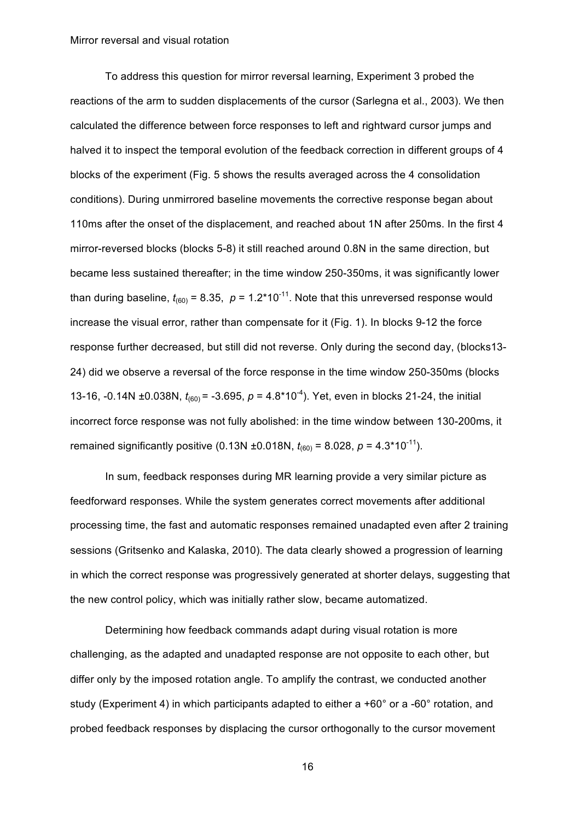To address this question for mirror reversal learning, Experiment 3 probed the reactions of the arm to sudden displacements of the cursor (Sarlegna et al., 2003). We then calculated the difference between force responses to left and rightward cursor jumps and halved it to inspect the temporal evolution of the feedback correction in different groups of 4 blocks of the experiment (Fig. 5 shows the results averaged across the 4 consolidation conditions). During unmirrored baseline movements the corrective response began about 110ms after the onset of the displacement, and reached about 1N after 250ms. In the first 4 mirror-reversed blocks (blocks 5-8) it still reached around 0.8N in the same direction, but became less sustained thereafter; in the time window 250-350ms, it was significantly lower than during baseline,  $t_{(60)} = 8.35$ ,  $p = 1.2*10^{-11}$ . Note that this unreversed response would increase the visual error, rather than compensate for it (Fig. 1). In blocks 9-12 the force response further decreased, but still did not reverse. Only during the second day, (blocks13- 24) did we observe a reversal of the force response in the time window 250-350ms (blocks 13-16, -0.14N ±0.038N,  $t_{(60)}$  = -3.695,  $p = 4.8*10^{-4}$ ). Yet, even in blocks 21-24, the initial incorrect force response was not fully abolished: in the time window between 130-200ms, it remained significantly positive (0.13N ±0.018N,  $t_{(60)} = 8.028$ ,  $p = 4.3*10^{-11}$ ).

In sum, feedback responses during MR learning provide a very similar picture as feedforward responses. While the system generates correct movements after additional processing time, the fast and automatic responses remained unadapted even after 2 training sessions (Gritsenko and Kalaska, 2010). The data clearly showed a progression of learning in which the correct response was progressively generated at shorter delays, suggesting that the new control policy, which was initially rather slow, became automatized.

Determining how feedback commands adapt during visual rotation is more challenging, as the adapted and unadapted response are not opposite to each other, but differ only by the imposed rotation angle. To amplify the contrast, we conducted another study (Experiment 4) in which participants adapted to either a +60° or a -60° rotation, and probed feedback responses by displacing the cursor orthogonally to the cursor movement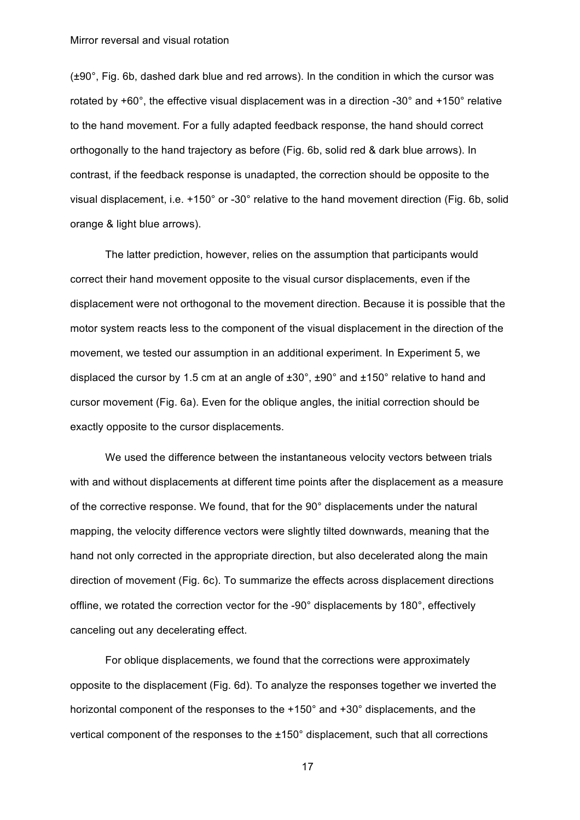(±90°, Fig. 6b, dashed dark blue and red arrows). In the condition in which the cursor was rotated by +60°, the effective visual displacement was in a direction -30° and +150° relative to the hand movement. For a fully adapted feedback response, the hand should correct orthogonally to the hand trajectory as before (Fig. 6b, solid red & dark blue arrows). In contrast, if the feedback response is unadapted, the correction should be opposite to the visual displacement, i.e. +150° or -30° relative to the hand movement direction (Fig. 6b, solid orange & light blue arrows).

The latter prediction, however, relies on the assumption that participants would correct their hand movement opposite to the visual cursor displacements, even if the displacement were not orthogonal to the movement direction. Because it is possible that the motor system reacts less to the component of the visual displacement in the direction of the movement, we tested our assumption in an additional experiment. In Experiment 5, we displaced the cursor by 1.5 cm at an angle of ±30°, ±90° and ±150° relative to hand and cursor movement (Fig. 6a). Even for the oblique angles, the initial correction should be exactly opposite to the cursor displacements.

We used the difference between the instantaneous velocity vectors between trials with and without displacements at different time points after the displacement as a measure of the corrective response. We found, that for the 90° displacements under the natural mapping, the velocity difference vectors were slightly tilted downwards, meaning that the hand not only corrected in the appropriate direction, but also decelerated along the main direction of movement (Fig. 6c). To summarize the effects across displacement directions offline, we rotated the correction vector for the -90° displacements by 180°, effectively canceling out any decelerating effect.

For oblique displacements, we found that the corrections were approximately opposite to the displacement (Fig. 6d). To analyze the responses together we inverted the horizontal component of the responses to the +150° and +30° displacements, and the vertical component of the responses to the ±150° displacement, such that all corrections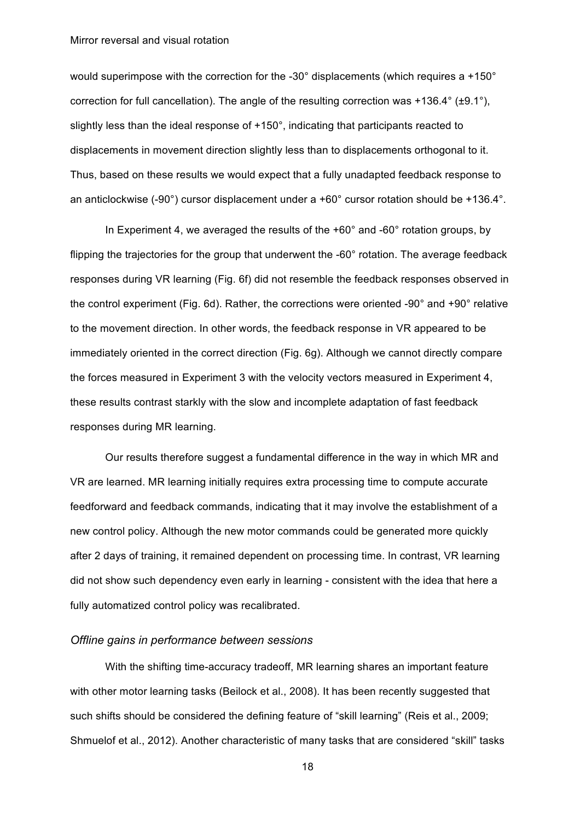would superimpose with the correction for the -30° displacements (which requires a +150° correction for full cancellation). The angle of the resulting correction was +136.4° (±9.1°), slightly less than the ideal response of  $+150^\circ$ , indicating that participants reacted to displacements in movement direction slightly less than to displacements orthogonal to it. Thus, based on these results we would expect that a fully unadapted feedback response to an anticlockwise (-90°) cursor displacement under a +60° cursor rotation should be +136.4°.

In Experiment 4, we averaged the results of the  $+60^{\circ}$  and  $-60^{\circ}$  rotation groups, by flipping the trajectories for the group that underwent the -60° rotation. The average feedback responses during VR learning (Fig. 6f) did not resemble the feedback responses observed in the control experiment (Fig. 6d). Rather, the corrections were oriented -90° and +90° relative to the movement direction. In other words, the feedback response in VR appeared to be immediately oriented in the correct direction (Fig. 6g). Although we cannot directly compare the forces measured in Experiment 3 with the velocity vectors measured in Experiment 4, these results contrast starkly with the slow and incomplete adaptation of fast feedback responses during MR learning.

Our results therefore suggest a fundamental difference in the way in which MR and VR are learned. MR learning initially requires extra processing time to compute accurate feedforward and feedback commands, indicating that it may involve the establishment of a new control policy. Although the new motor commands could be generated more quickly after 2 days of training, it remained dependent on processing time. In contrast, VR learning did not show such dependency even early in learning - consistent with the idea that here a fully automatized control policy was recalibrated.

## *Offline gains in performance between sessions*

With the shifting time-accuracy tradeoff, MR learning shares an important feature with other motor learning tasks (Beilock et al., 2008). It has been recently suggested that such shifts should be considered the defining feature of "skill learning" (Reis et al., 2009; Shmuelof et al., 2012). Another characteristic of many tasks that are considered "skill" tasks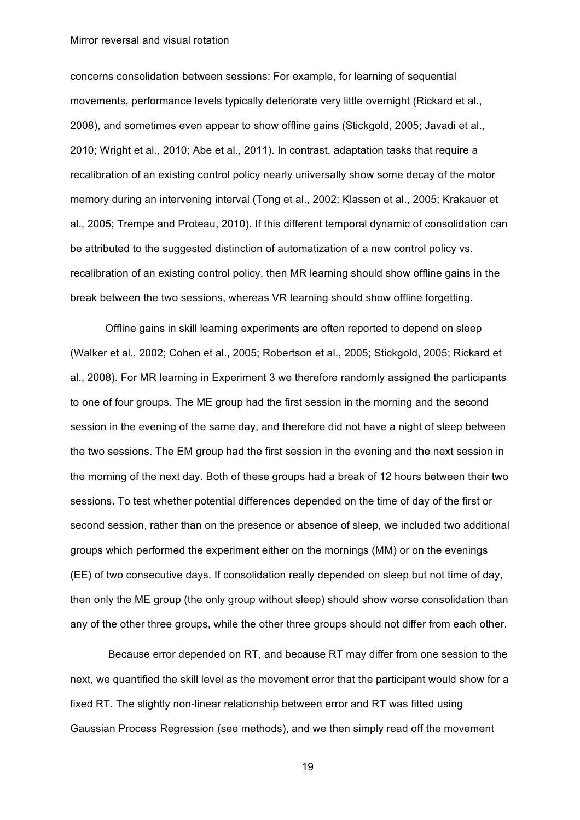concerns consolidation between sessions: For example, for learning of sequential movements, performance levels typically deteriorate very little overnight (Rickard et al., 2008), and sometimes even appear to show offline gains (Stickgold, 2005; Javadi et al., 2010; Wright et al., 2010; Abe et al., 2011). In contrast, adaptation tasks that require a recalibration of an existing control policy nearly universally show some decay of the motor memory during an intervening interval (Tong et al., 2002; Klassen et al., 2005; Krakauer et al., 2005; Trempe and Proteau, 2010). If this different temporal dynamic of consolidation can be attributed to the suggested distinction of automatization of a new control policy vs. recalibration of an existing control policy, then MR learning should show offline gains in the break between the two sessions, whereas VR learning should show offline forgetting.

Offline gains in skill learning experiments are often reported to depend on sleep (Walker et al., 2002; Cohen et al., 2005; Robertson et al., 2005; Stickgold, 2005; Rickard et al., 2008). For MR learning in Experiment 3 we therefore randomly assigned the participants to one of four groups. The ME group had the first session in the morning and the second session in the evening of the same day, and therefore did not have a night of sleep between the two sessions. The EM group had the first session in the evening and the next session in the morning of the next day. Both of these groups had a break of 12 hours between their two sessions. To test whether potential differences depended on the time of day of the first or second session, rather than on the presence or absence of sleep, we included two additional groups which performed the experiment either on the mornings (MM) or on the evenings (EE) of two consecutive days. If consolidation really depended on sleep but not time of day, then only the ME group (the only group without sleep) should show worse consolidation than any of the other three groups, while the other three groups should not differ from each other.

Because error depended on RT, and because RT may differ from one session to the next, we quantified the skill level as the movement error that the participant would show for a fixed RT. The slightly non-linear relationship between error and RT was fitted using Gaussian Process Regression (see methods), and we then simply read off the movement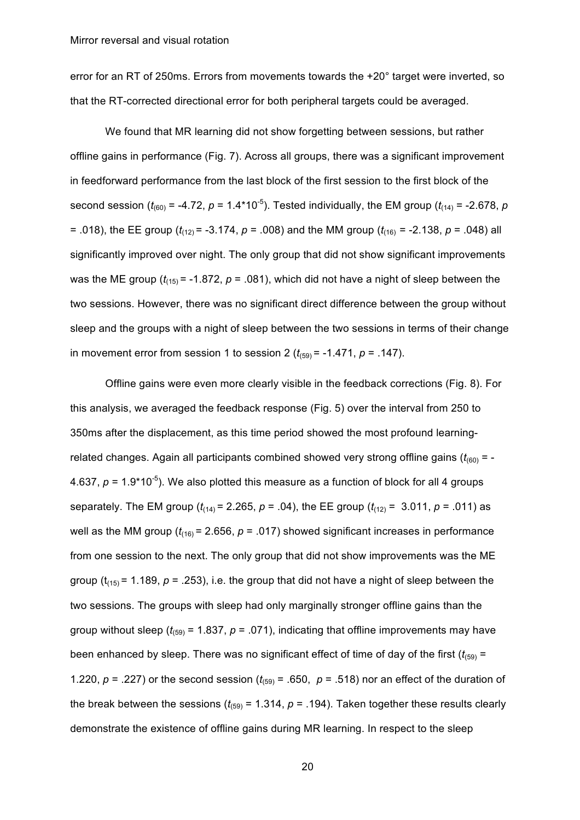error for an RT of 250ms. Errors from movements towards the +20° target were inverted, so that the RT-corrected directional error for both peripheral targets could be averaged.

We found that MR learning did not show forgetting between sessions, but rather offline gains in performance (Fig. 7). Across all groups, there was a significant improvement in feedforward performance from the last block of the first session to the first block of the second session ( $t_{(60)}$  = -4.72,  $p$  = 1.4\*10<sup>-5</sup>). Tested individually, the EM group ( $t_{(14)}$  = -2.678,  $p$ = .018), the EE group ( $t_{(12)}$  = -3.174,  $p$  = .008) and the MM group ( $t_{(16)}$  = -2.138,  $p$  = .048) all significantly improved over night. The only group that did not show significant improvements was the ME group  $(t_{(15)} = -1.872, p = .081)$ , which did not have a night of sleep between the two sessions. However, there was no significant direct difference between the group without sleep and the groups with a night of sleep between the two sessions in terms of their change in movement error from session 1 to session 2  $(t_{(59)} = -1.471, p = .147)$ .

Offline gains were even more clearly visible in the feedback corrections (Fig. 8). For this analysis, we averaged the feedback response (Fig. 5) over the interval from 250 to 350ms after the displacement, as this time period showed the most profound learningrelated changes. Again all participants combined showed very strong offline gains  $(t_{600}) = -1$ 4.637,  $p = 1.9*10^{-5}$ ). We also plotted this measure as a function of block for all 4 groups separately. The EM group  $(t_{(14)} = 2.265, p = .04)$ , the EE group  $(t_{(12)} = 3.011, p = .011)$  as well as the MM group  $(t_{(16)} = 2.656, p = .017)$  showed significant increases in performance from one session to the next. The only group that did not show improvements was the ME group ( $t_{(15)}$  = 1.189,  $p$  = .253), i.e. the group that did not have a night of sleep between the two sessions. The groups with sleep had only marginally stronger offline gains than the group without sleep ( $t_{(59)}$  = 1.837,  $p = 0.071$ ), indicating that offline improvements may have been enhanced by sleep. There was no significant effect of time of day of the first  $(t_{(59)} =$ 1.220,  $p = 0.227$ ) or the second session ( $t_{(59)} = 0.650$ ,  $p = 0.518$ ) nor an effect of the duration of the break between the sessions  $(t_{(59)} = 1.314, p = .194)$ . Taken together these results clearly demonstrate the existence of offline gains during MR learning. In respect to the sleep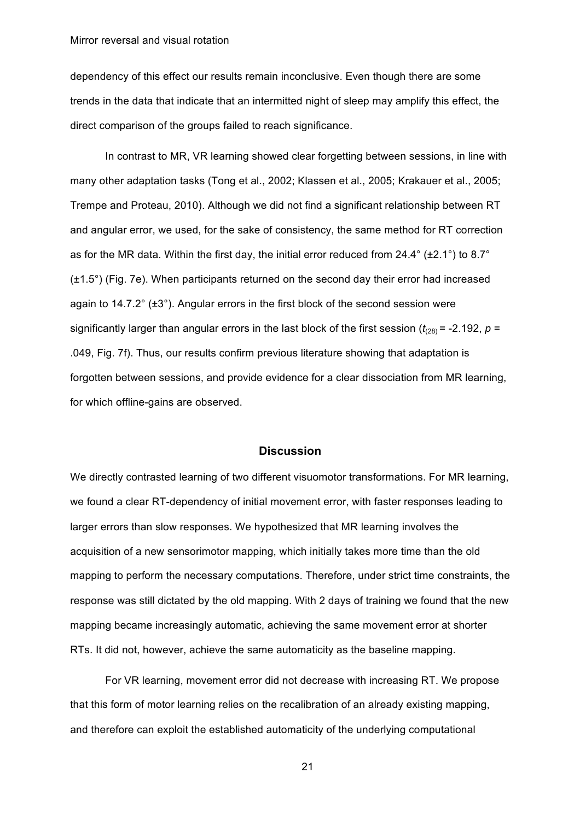dependency of this effect our results remain inconclusive. Even though there are some trends in the data that indicate that an intermitted night of sleep may amplify this effect, the direct comparison of the groups failed to reach significance.

In contrast to MR, VR learning showed clear forgetting between sessions, in line with many other adaptation tasks (Tong et al., 2002; Klassen et al., 2005; Krakauer et al., 2005; Trempe and Proteau, 2010). Although we did not find a significant relationship between RT and angular error, we used, for the sake of consistency, the same method for RT correction as for the MR data. Within the first day, the initial error reduced from 24.4 $\degree$  (±2.1 $\degree$ ) to 8.7 $\degree$ (±1.5°) (Fig. 7e). When participants returned on the second day their error had increased again to  $14.7.2^{\circ}$  ( $\pm 3^{\circ}$ ). Angular errors in the first block of the second session were significantly larger than angular errors in the last block of the first session  $(t<sub>(28)</sub>)$  = -2.192,  $p =$ .049, Fig. 7f). Thus, our results confirm previous literature showing that adaptation is forgotten between sessions, and provide evidence for a clear dissociation from MR learning, for which offline-gains are observed.

### **Discussion**

We directly contrasted learning of two different visuomotor transformations. For MR learning, we found a clear RT-dependency of initial movement error, with faster responses leading to larger errors than slow responses. We hypothesized that MR learning involves the acquisition of a new sensorimotor mapping, which initially takes more time than the old mapping to perform the necessary computations. Therefore, under strict time constraints, the response was still dictated by the old mapping. With 2 days of training we found that the new mapping became increasingly automatic, achieving the same movement error at shorter RTs. It did not, however, achieve the same automaticity as the baseline mapping.

For VR learning, movement error did not decrease with increasing RT. We propose that this form of motor learning relies on the recalibration of an already existing mapping, and therefore can exploit the established automaticity of the underlying computational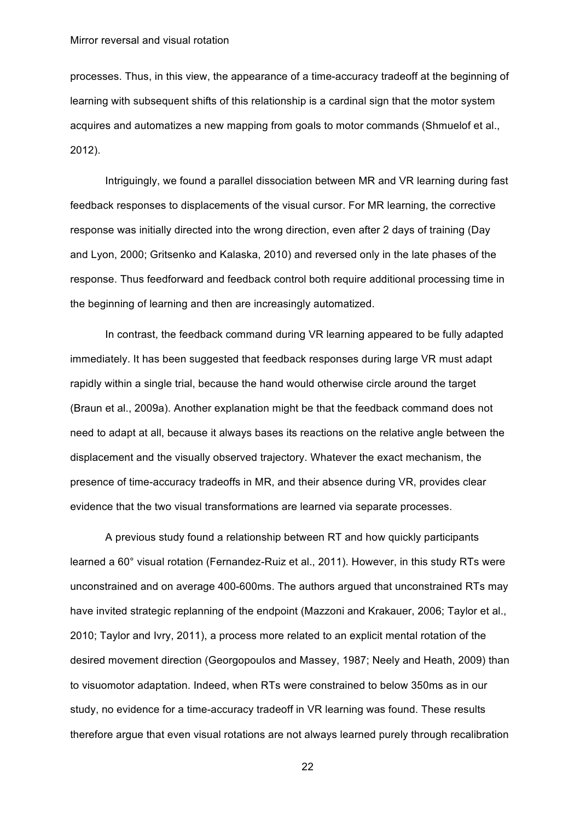processes. Thus, in this view, the appearance of a time-accuracy tradeoff at the beginning of learning with subsequent shifts of this relationship is a cardinal sign that the motor system acquires and automatizes a new mapping from goals to motor commands (Shmuelof et al., 2012).

Intriguingly, we found a parallel dissociation between MR and VR learning during fast feedback responses to displacements of the visual cursor. For MR learning, the corrective response was initially directed into the wrong direction, even after 2 days of training (Day and Lyon, 2000; Gritsenko and Kalaska, 2010) and reversed only in the late phases of the response. Thus feedforward and feedback control both require additional processing time in the beginning of learning and then are increasingly automatized.

In contrast, the feedback command during VR learning appeared to be fully adapted immediately. It has been suggested that feedback responses during large VR must adapt rapidly within a single trial, because the hand would otherwise circle around the target (Braun et al., 2009a). Another explanation might be that the feedback command does not need to adapt at all, because it always bases its reactions on the relative angle between the displacement and the visually observed trajectory. Whatever the exact mechanism, the presence of time-accuracy tradeoffs in MR, and their absence during VR, provides clear evidence that the two visual transformations are learned via separate processes.

A previous study found a relationship between RT and how quickly participants learned a 60° visual rotation (Fernandez-Ruiz et al., 2011). However, in this study RTs were unconstrained and on average 400-600ms. The authors argued that unconstrained RTs may have invited strategic replanning of the endpoint (Mazzoni and Krakauer, 2006; Taylor et al., 2010; Taylor and Ivry, 2011), a process more related to an explicit mental rotation of the desired movement direction (Georgopoulos and Massey, 1987; Neely and Heath, 2009) than to visuomotor adaptation. Indeed, when RTs were constrained to below 350ms as in our study, no evidence for a time-accuracy tradeoff in VR learning was found. These results therefore argue that even visual rotations are not always learned purely through recalibration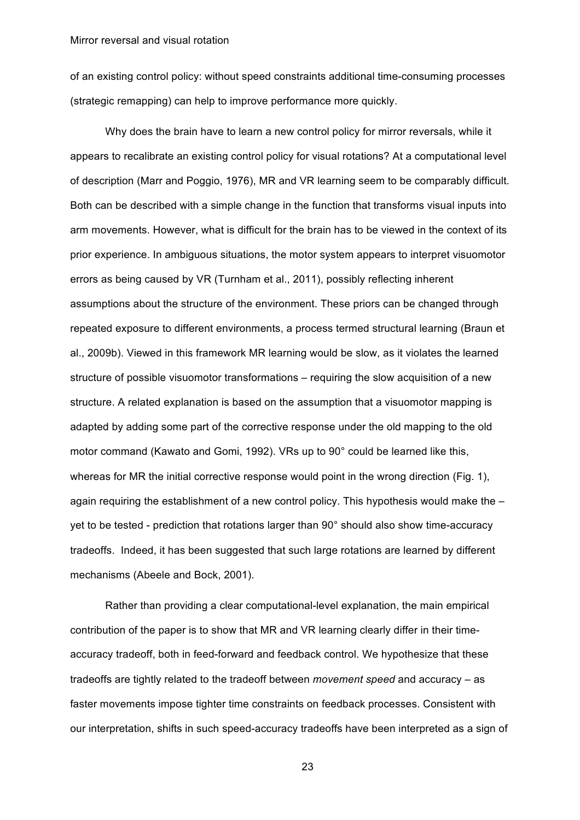of an existing control policy: without speed constraints additional time-consuming processes (strategic remapping) can help to improve performance more quickly.

Why does the brain have to learn a new control policy for mirror reversals, while it appears to recalibrate an existing control policy for visual rotations? At a computational level of description (Marr and Poggio, 1976), MR and VR learning seem to be comparably difficult. Both can be described with a simple change in the function that transforms visual inputs into arm movements. However, what is difficult for the brain has to be viewed in the context of its prior experience. In ambiguous situations, the motor system appears to interpret visuomotor errors as being caused by VR (Turnham et al., 2011), possibly reflecting inherent assumptions about the structure of the environment. These priors can be changed through repeated exposure to different environments, a process termed structural learning (Braun et al., 2009b). Viewed in this framework MR learning would be slow, as it violates the learned structure of possible visuomotor transformations – requiring the slow acquisition of a new structure. A related explanation is based on the assumption that a visuomotor mapping is adapted by adding some part of the corrective response under the old mapping to the old motor command (Kawato and Gomi, 1992). VRs up to 90° could be learned like this, whereas for MR the initial corrective response would point in the wrong direction (Fig. 1), again requiring the establishment of a new control policy. This hypothesis would make the – yet to be tested - prediction that rotations larger than 90° should also show time-accuracy tradeoffs. Indeed, it has been suggested that such large rotations are learned by different mechanisms (Abeele and Bock, 2001).

Rather than providing a clear computational-level explanation, the main empirical contribution of the paper is to show that MR and VR learning clearly differ in their timeaccuracy tradeoff, both in feed-forward and feedback control. We hypothesize that these tradeoffs are tightly related to the tradeoff between *movement speed* and accuracy – as faster movements impose tighter time constraints on feedback processes. Consistent with our interpretation, shifts in such speed-accuracy tradeoffs have been interpreted as a sign of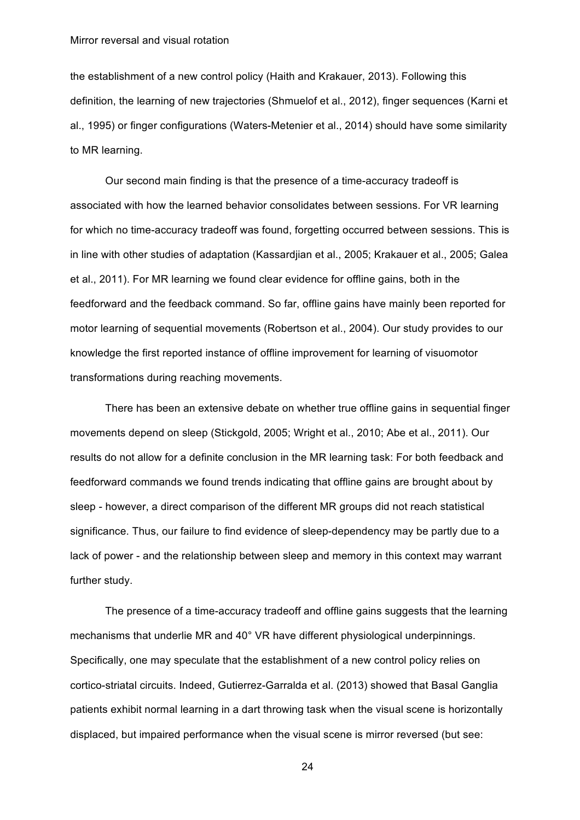the establishment of a new control policy (Haith and Krakauer, 2013). Following this definition, the learning of new trajectories (Shmuelof et al., 2012), finger sequences (Karni et al., 1995) or finger configurations (Waters-Metenier et al., 2014) should have some similarity to MR learning.

Our second main finding is that the presence of a time-accuracy tradeoff is associated with how the learned behavior consolidates between sessions. For VR learning for which no time-accuracy tradeoff was found, forgetting occurred between sessions. This is in line with other studies of adaptation (Kassardjian et al., 2005; Krakauer et al., 2005; Galea et al., 2011). For MR learning we found clear evidence for offline gains, both in the feedforward and the feedback command. So far, offline gains have mainly been reported for motor learning of sequential movements (Robertson et al., 2004). Our study provides to our knowledge the first reported instance of offline improvement for learning of visuomotor transformations during reaching movements.

There has been an extensive debate on whether true offline gains in sequential finger movements depend on sleep (Stickgold, 2005; Wright et al., 2010; Abe et al., 2011). Our results do not allow for a definite conclusion in the MR learning task: For both feedback and feedforward commands we found trends indicating that offline gains are brought about by sleep - however, a direct comparison of the different MR groups did not reach statistical significance. Thus, our failure to find evidence of sleep-dependency may be partly due to a lack of power - and the relationship between sleep and memory in this context may warrant further study.

The presence of a time-accuracy tradeoff and offline gains suggests that the learning mechanisms that underlie MR and 40° VR have different physiological underpinnings. Specifically, one may speculate that the establishment of a new control policy relies on cortico-striatal circuits. Indeed, Gutierrez-Garralda et al. (2013) showed that Basal Ganglia patients exhibit normal learning in a dart throwing task when the visual scene is horizontally displaced, but impaired performance when the visual scene is mirror reversed (but see: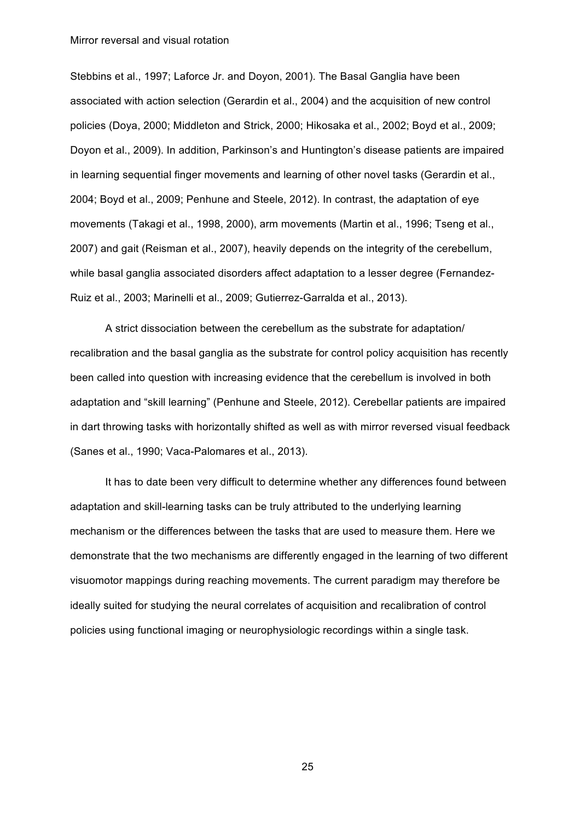Stebbins et al., 1997; Laforce Jr. and Doyon, 2001). The Basal Ganglia have been associated with action selection (Gerardin et al., 2004) and the acquisition of new control policies (Doya, 2000; Middleton and Strick, 2000; Hikosaka et al., 2002; Boyd et al., 2009; Doyon et al., 2009). In addition, Parkinson's and Huntington's disease patients are impaired in learning sequential finger movements and learning of other novel tasks (Gerardin et al., 2004; Boyd et al., 2009; Penhune and Steele, 2012). In contrast, the adaptation of eye movements (Takagi et al., 1998, 2000), arm movements (Martin et al., 1996; Tseng et al., 2007) and gait (Reisman et al., 2007), heavily depends on the integrity of the cerebellum, while basal ganglia associated disorders affect adaptation to a lesser degree (Fernandez-Ruiz et al., 2003; Marinelli et al., 2009; Gutierrez-Garralda et al., 2013).

A strict dissociation between the cerebellum as the substrate for adaptation/ recalibration and the basal ganglia as the substrate for control policy acquisition has recently been called into question with increasing evidence that the cerebellum is involved in both adaptation and "skill learning" (Penhune and Steele, 2012). Cerebellar patients are impaired in dart throwing tasks with horizontally shifted as well as with mirror reversed visual feedback (Sanes et al., 1990; Vaca-Palomares et al., 2013).

It has to date been very difficult to determine whether any differences found between adaptation and skill-learning tasks can be truly attributed to the underlying learning mechanism or the differences between the tasks that are used to measure them. Here we demonstrate that the two mechanisms are differently engaged in the learning of two different visuomotor mappings during reaching movements. The current paradigm may therefore be ideally suited for studying the neural correlates of acquisition and recalibration of control policies using functional imaging or neurophysiologic recordings within a single task.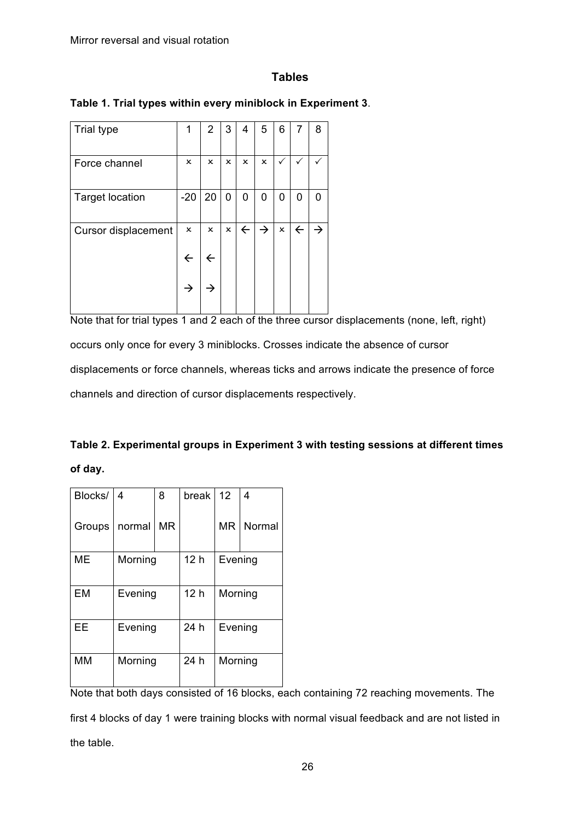# **Tables**

| <b>Trial type</b>      | 1            | 2  | 3 | 4            | 5             | 6 | 7            | 8 |
|------------------------|--------------|----|---|--------------|---------------|---|--------------|---|
| Force channel          | x            | x  | x | ×            | ×             | ✓ | ✓            |   |
| <b>Target location</b> | $-20$        | 20 | 0 | 0            | 0             | 0 | 0            | 0 |
| Cursor displacement    | ×            | x  | × | $\leftarrow$ | $\rightarrow$ | × | $\leftarrow$ |   |
|                        | $\leftarrow$ |    |   |              |               |   |              |   |
|                        | →            |    |   |              |               |   |              |   |

**Table 1. Trial types within every miniblock in Experiment 3**.

Note that for trial types 1 and 2 each of the three cursor displacements (none, left, right) occurs only once for every 3 miniblocks. Crosses indicate the absence of cursor displacements or force channels, whereas ticks and arrows indicate the presence of force channels and direction of cursor displacements respectively.

| Table 2. Experimental groups in Experiment 3 with testing sessions at different times |  |
|---------------------------------------------------------------------------------------|--|
| of day.                                                                               |  |

| Blocks/   | 4       | 8         | break           | 12 <sup>2</sup> | 4      |  |
|-----------|---------|-----------|-----------------|-----------------|--------|--|
| Groups    | normal  | <b>MR</b> |                 | <b>MR</b>       | Normal |  |
| ME        | Morning |           | 12 <sub>h</sub> | Evening         |        |  |
|           |         |           |                 |                 |        |  |
| EM        | Evening |           | 12 <sub>h</sub> | Morning         |        |  |
| EE        | Evening |           | 24 h            | Evening         |        |  |
| <b>MM</b> | Morning |           | 24 h            | Morning         |        |  |

Note that both days consisted of 16 blocks, each containing 72 reaching movements. The first 4 blocks of day 1 were training blocks with normal visual feedback and are not listed in the table.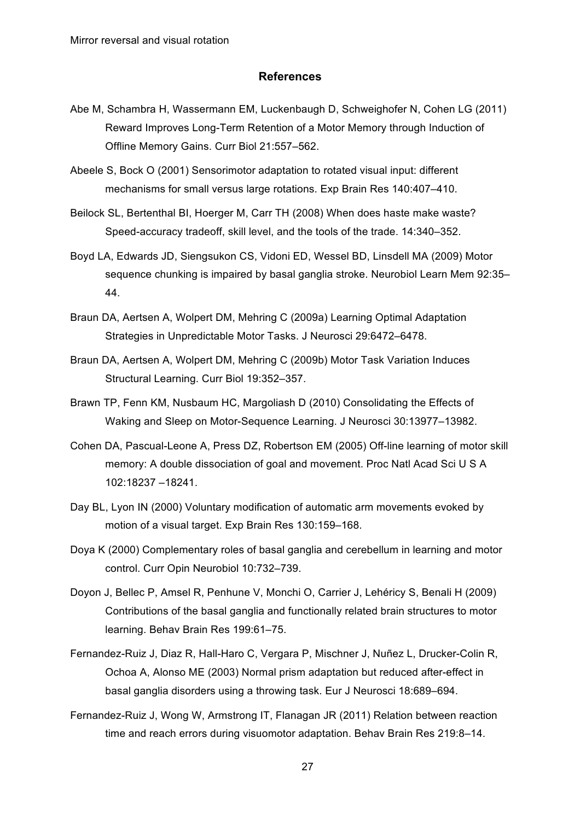## **References**

- Abe M, Schambra H, Wassermann EM, Luckenbaugh D, Schweighofer N, Cohen LG (2011) Reward Improves Long-Term Retention of a Motor Memory through Induction of Offline Memory Gains. Curr Biol 21:557–562.
- Abeele S, Bock O (2001) Sensorimotor adaptation to rotated visual input: different mechanisms for small versus large rotations. Exp Brain Res 140:407–410.
- Beilock SL, Bertenthal BI, Hoerger M, Carr TH (2008) When does haste make waste? Speed-accuracy tradeoff, skill level, and the tools of the trade. 14:340–352.
- Boyd LA, Edwards JD, Siengsukon CS, Vidoni ED, Wessel BD, Linsdell MA (2009) Motor sequence chunking is impaired by basal ganglia stroke. Neurobiol Learn Mem 92:35– 44.
- Braun DA, Aertsen A, Wolpert DM, Mehring C (2009a) Learning Optimal Adaptation Strategies in Unpredictable Motor Tasks. J Neurosci 29:6472–6478.
- Braun DA, Aertsen A, Wolpert DM, Mehring C (2009b) Motor Task Variation Induces Structural Learning. Curr Biol 19:352–357.
- Brawn TP, Fenn KM, Nusbaum HC, Margoliash D (2010) Consolidating the Effects of Waking and Sleep on Motor-Sequence Learning. J Neurosci 30:13977–13982.
- Cohen DA, Pascual-Leone A, Press DZ, Robertson EM (2005) Off-line learning of motor skill memory: A double dissociation of goal and movement. Proc Natl Acad Sci U S A 102:18237 –18241.
- Day BL, Lyon IN (2000) Voluntary modification of automatic arm movements evoked by motion of a visual target. Exp Brain Res 130:159–168.
- Doya K (2000) Complementary roles of basal ganglia and cerebellum in learning and motor control. Curr Opin Neurobiol 10:732–739.
- Doyon J, Bellec P, Amsel R, Penhune V, Monchi O, Carrier J, Lehéricy S, Benali H (2009) Contributions of the basal ganglia and functionally related brain structures to motor learning. Behav Brain Res 199:61–75.
- Fernandez-Ruiz J, Diaz R, Hall-Haro C, Vergara P, Mischner J, Nuñez L, Drucker-Colin R, Ochoa A, Alonso ME (2003) Normal prism adaptation but reduced after-effect in basal ganglia disorders using a throwing task. Eur J Neurosci 18:689–694.
- Fernandez-Ruiz J, Wong W, Armstrong IT, Flanagan JR (2011) Relation between reaction time and reach errors during visuomotor adaptation. Behav Brain Res 219:8–14.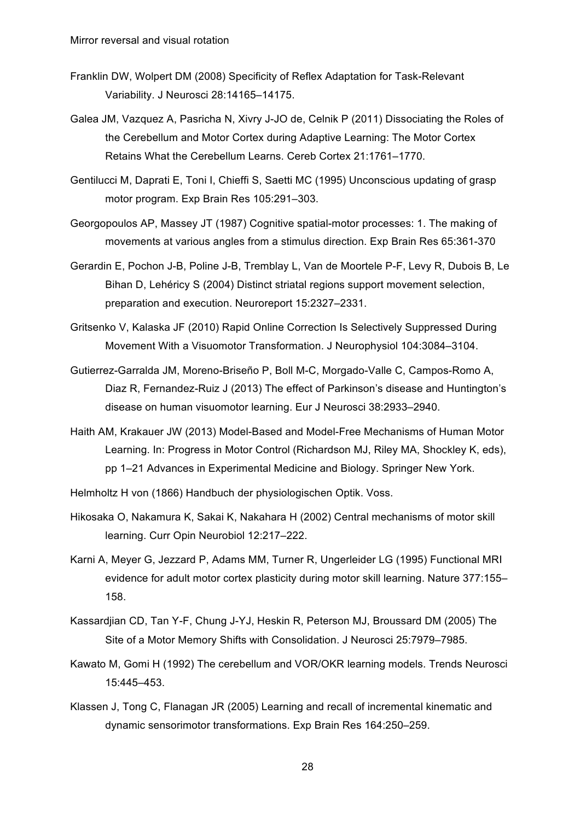- Franklin DW, Wolpert DM (2008) Specificity of Reflex Adaptation for Task-Relevant Variability. J Neurosci 28:14165–14175.
- Galea JM, Vazquez A, Pasricha N, Xivry J-JO de, Celnik P (2011) Dissociating the Roles of the Cerebellum and Motor Cortex during Adaptive Learning: The Motor Cortex Retains What the Cerebellum Learns. Cereb Cortex 21:1761–1770.
- Gentilucci M, Daprati E, Toni I, Chieffi S, Saetti MC (1995) Unconscious updating of grasp motor program. Exp Brain Res 105:291–303.
- Georgopoulos AP, Massey JT (1987) Cognitive spatial-motor processes: 1. The making of movements at various angles from a stimulus direction. Exp Brain Res 65:361-370
- Gerardin E, Pochon J-B, Poline J-B, Tremblay L, Van de Moortele P-F, Levy R, Dubois B, Le Bihan D, Lehéricy S (2004) Distinct striatal regions support movement selection, preparation and execution. Neuroreport 15:2327–2331.
- Gritsenko V, Kalaska JF (2010) Rapid Online Correction Is Selectively Suppressed During Movement With a Visuomotor Transformation. J Neurophysiol 104:3084–3104.
- Gutierrez-Garralda JM, Moreno-Briseño P, Boll M-C, Morgado-Valle C, Campos-Romo A, Diaz R, Fernandez-Ruiz J (2013) The effect of Parkinson's disease and Huntington's disease on human visuomotor learning. Eur J Neurosci 38:2933–2940.
- Haith AM, Krakauer JW (2013) Model-Based and Model-Free Mechanisms of Human Motor Learning. In: Progress in Motor Control (Richardson MJ, Riley MA, Shockley K, eds), pp 1–21 Advances in Experimental Medicine and Biology. Springer New York.
- Helmholtz H von (1866) Handbuch der physiologischen Optik. Voss.
- Hikosaka O, Nakamura K, Sakai K, Nakahara H (2002) Central mechanisms of motor skill learning. Curr Opin Neurobiol 12:217–222.
- Karni A, Meyer G, Jezzard P, Adams MM, Turner R, Ungerleider LG (1995) Functional MRI evidence for adult motor cortex plasticity during motor skill learning. Nature 377:155– 158.
- Kassardjian CD, Tan Y-F, Chung J-YJ, Heskin R, Peterson MJ, Broussard DM (2005) The Site of a Motor Memory Shifts with Consolidation. J Neurosci 25:7979–7985.
- Kawato M, Gomi H (1992) The cerebellum and VOR/OKR learning models. Trends Neurosci 15:445–453.
- Klassen J, Tong C, Flanagan JR (2005) Learning and recall of incremental kinematic and dynamic sensorimotor transformations. Exp Brain Res 164:250–259.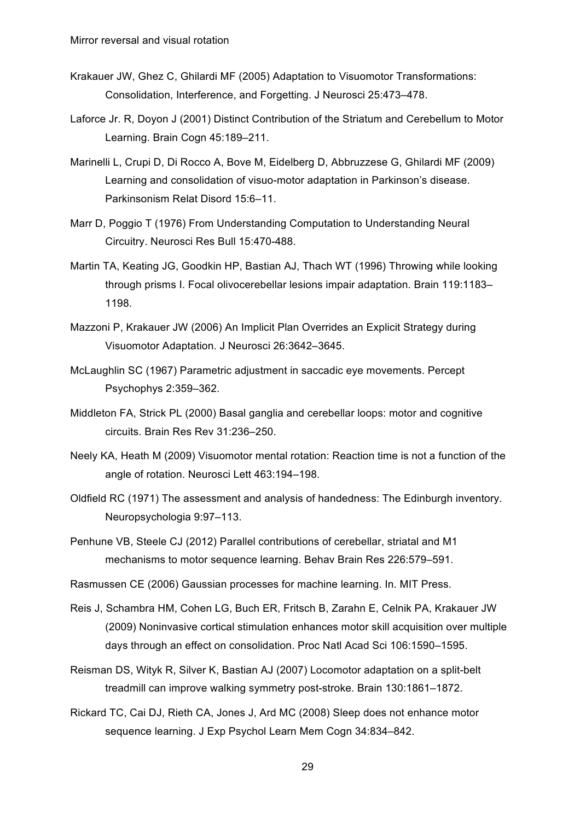- Krakauer JW, Ghez C, Ghilardi MF (2005) Adaptation to Visuomotor Transformations: Consolidation, Interference, and Forgetting. J Neurosci 25:473–478.
- Laforce Jr. R, Doyon J (2001) Distinct Contribution of the Striatum and Cerebellum to Motor Learning. Brain Cogn 45:189–211.
- Marinelli L, Crupi D, Di Rocco A, Bove M, Eidelberg D, Abbruzzese G, Ghilardi MF (2009) Learning and consolidation of visuo-motor adaptation in Parkinson's disease. Parkinsonism Relat Disord 15:6–11.
- Marr D, Poggio T (1976) From Understanding Computation to Understanding Neural Circuitry. Neurosci Res Bull 15:470-488.
- Martin TA, Keating JG, Goodkin HP, Bastian AJ, Thach WT (1996) Throwing while looking through prisms I. Focal olivocerebellar lesions impair adaptation. Brain 119:1183– 1198.
- Mazzoni P, Krakauer JW (2006) An Implicit Plan Overrides an Explicit Strategy during Visuomotor Adaptation. J Neurosci 26:3642–3645.
- McLaughlin SC (1967) Parametric adjustment in saccadic eye movements. Percept Psychophys 2:359–362.
- Middleton FA, Strick PL (2000) Basal ganglia and cerebellar loops: motor and cognitive circuits. Brain Res Rev 31:236–250.
- Neely KA, Heath M (2009) Visuomotor mental rotation: Reaction time is not a function of the angle of rotation. Neurosci Lett 463:194–198.
- Oldfield RC (1971) The assessment and analysis of handedness: The Edinburgh inventory. Neuropsychologia 9:97–113.
- Penhune VB, Steele CJ (2012) Parallel contributions of cerebellar, striatal and M1 mechanisms to motor sequence learning. Behav Brain Res 226:579–591.

Rasmussen CE (2006) Gaussian processes for machine learning. In. MIT Press.

- Reis J, Schambra HM, Cohen LG, Buch ER, Fritsch B, Zarahn E, Celnik PA, Krakauer JW (2009) Noninvasive cortical stimulation enhances motor skill acquisition over multiple days through an effect on consolidation. Proc Natl Acad Sci 106:1590–1595.
- Reisman DS, Wityk R, Silver K, Bastian AJ (2007) Locomotor adaptation on a split-belt treadmill can improve walking symmetry post-stroke. Brain 130:1861–1872.
- Rickard TC, Cai DJ, Rieth CA, Jones J, Ard MC (2008) Sleep does not enhance motor sequence learning. J Exp Psychol Learn Mem Cogn 34:834–842.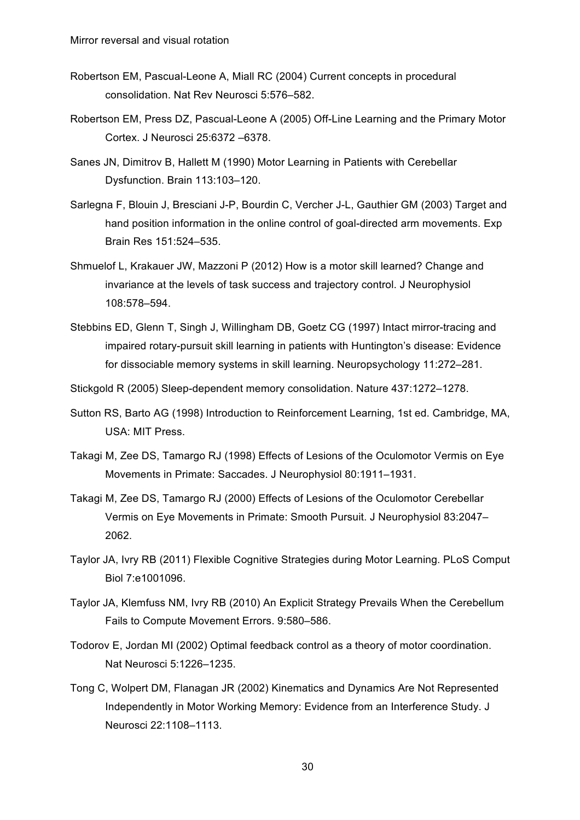- Robertson EM, Pascual-Leone A, Miall RC (2004) Current concepts in procedural consolidation. Nat Rev Neurosci 5:576–582.
- Robertson EM, Press DZ, Pascual-Leone A (2005) Off-Line Learning and the Primary Motor Cortex. J Neurosci 25:6372 –6378.
- Sanes JN, Dimitrov B, Hallett M (1990) Motor Learning in Patients with Cerebellar Dysfunction. Brain 113:103–120.
- Sarlegna F, Blouin J, Bresciani J-P, Bourdin C, Vercher J-L, Gauthier GM (2003) Target and hand position information in the online control of goal-directed arm movements. Exp Brain Res 151:524–535.
- Shmuelof L, Krakauer JW, Mazzoni P (2012) How is a motor skill learned? Change and invariance at the levels of task success and trajectory control. J Neurophysiol 108:578–594.
- Stebbins ED, Glenn T, Singh J, Willingham DB, Goetz CG (1997) Intact mirror-tracing and impaired rotary-pursuit skill learning in patients with Huntington's disease: Evidence for dissociable memory systems in skill learning. Neuropsychology 11:272–281.
- Stickgold R (2005) Sleep-dependent memory consolidation. Nature 437:1272–1278.
- Sutton RS, Barto AG (1998) Introduction to Reinforcement Learning, 1st ed. Cambridge, MA, USA: MIT Press.
- Takagi M, Zee DS, Tamargo RJ (1998) Effects of Lesions of the Oculomotor Vermis on Eye Movements in Primate: Saccades. J Neurophysiol 80:1911–1931.
- Takagi M, Zee DS, Tamargo RJ (2000) Effects of Lesions of the Oculomotor Cerebellar Vermis on Eye Movements in Primate: Smooth Pursuit. J Neurophysiol 83:2047– 2062.
- Taylor JA, Ivry RB (2011) Flexible Cognitive Strategies during Motor Learning. PLoS Comput Biol 7:e1001096.
- Taylor JA, Klemfuss NM, Ivry RB (2010) An Explicit Strategy Prevails When the Cerebellum Fails to Compute Movement Errors. 9:580–586.
- Todorov E, Jordan MI (2002) Optimal feedback control as a theory of motor coordination. Nat Neurosci 5:1226–1235.
- Tong C, Wolpert DM, Flanagan JR (2002) Kinematics and Dynamics Are Not Represented Independently in Motor Working Memory: Evidence from an Interference Study. J Neurosci 22:1108–1113.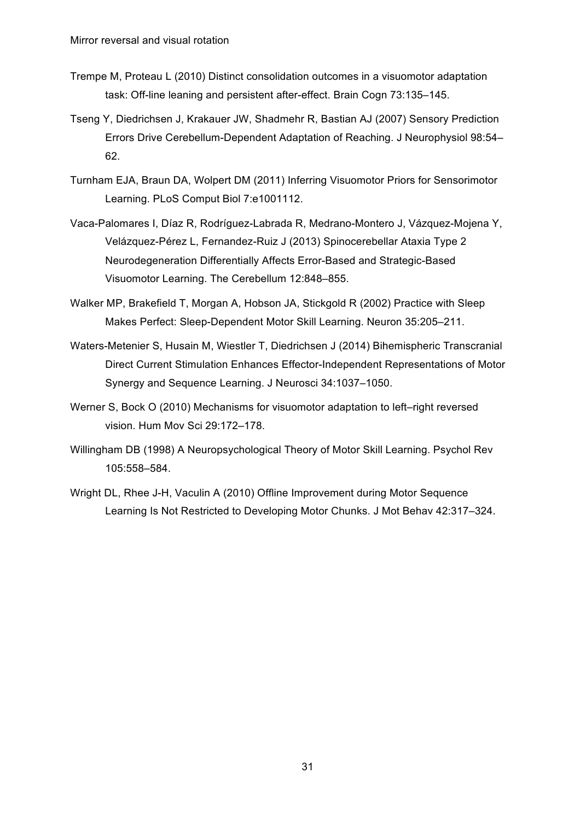- Trempe M, Proteau L (2010) Distinct consolidation outcomes in a visuomotor adaptation task: Off-line leaning and persistent after-effect. Brain Cogn 73:135–145.
- Tseng Y, Diedrichsen J, Krakauer JW, Shadmehr R, Bastian AJ (2007) Sensory Prediction Errors Drive Cerebellum-Dependent Adaptation of Reaching. J Neurophysiol 98:54– 62.
- Turnham EJA, Braun DA, Wolpert DM (2011) Inferring Visuomotor Priors for Sensorimotor Learning. PLoS Comput Biol 7:e1001112.
- Vaca-Palomares I, Díaz R, Rodríguez-Labrada R, Medrano-Montero J, Vázquez-Mojena Y, Velázquez-Pérez L, Fernandez-Ruiz J (2013) Spinocerebellar Ataxia Type 2 Neurodegeneration Differentially Affects Error-Based and Strategic-Based Visuomotor Learning. The Cerebellum 12:848–855.
- Walker MP, Brakefield T, Morgan A, Hobson JA, Stickgold R (2002) Practice with Sleep Makes Perfect: Sleep-Dependent Motor Skill Learning. Neuron 35:205–211.
- Waters-Metenier S, Husain M, Wiestler T, Diedrichsen J (2014) Bihemispheric Transcranial Direct Current Stimulation Enhances Effector-Independent Representations of Motor Synergy and Sequence Learning. J Neurosci 34:1037–1050.
- Werner S, Bock O (2010) Mechanisms for visuomotor adaptation to left–right reversed vision. Hum Mov Sci 29:172–178.
- Willingham DB (1998) A Neuropsychological Theory of Motor Skill Learning. Psychol Rev 105:558–584.
- Wright DL, Rhee J-H, Vaculin A (2010) Offline Improvement during Motor Sequence Learning Is Not Restricted to Developing Motor Chunks. J Mot Behav 42:317–324.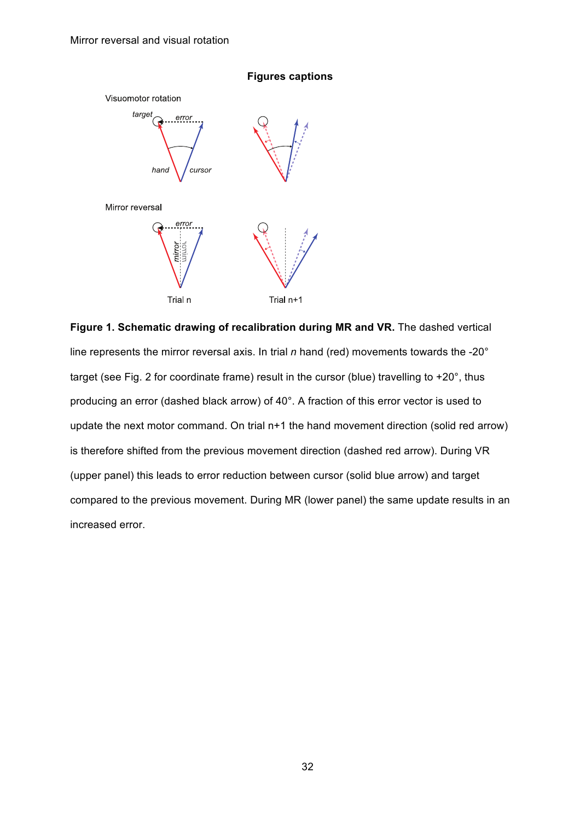

## **Figures captions**

**Figure 1. Schematic drawing of recalibration during MR and VR.** The dashed vertical line represents the mirror reversal axis. In trial *n* hand (red) movements towards the -20° target (see Fig. 2 for coordinate frame) result in the cursor (blue) travelling to +20°, thus producing an error (dashed black arrow) of 40°. A fraction of this error vector is used to update the next motor command. On trial n+1 the hand movement direction (solid red arrow) is therefore shifted from the previous movement direction (dashed red arrow). During VR (upper panel) this leads to error reduction between cursor (solid blue arrow) and target compared to the previous movement. During MR (lower panel) the same update results in an increased error.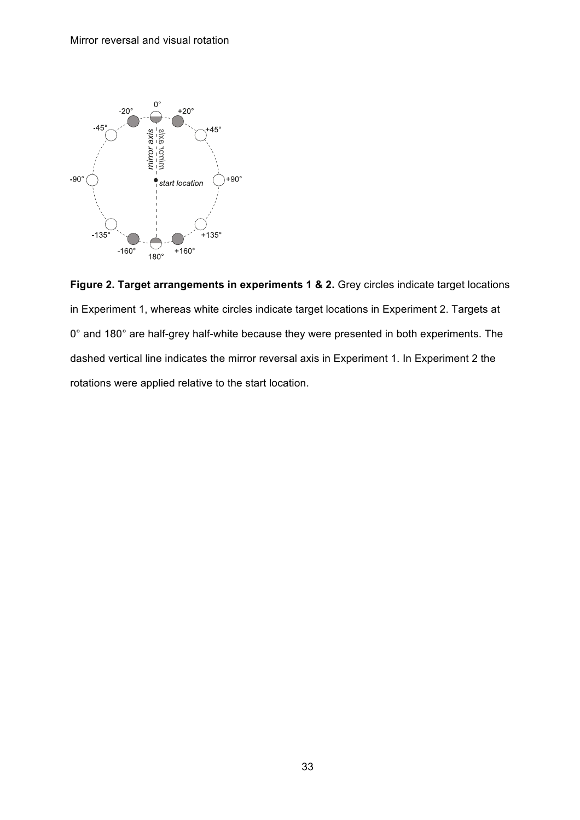

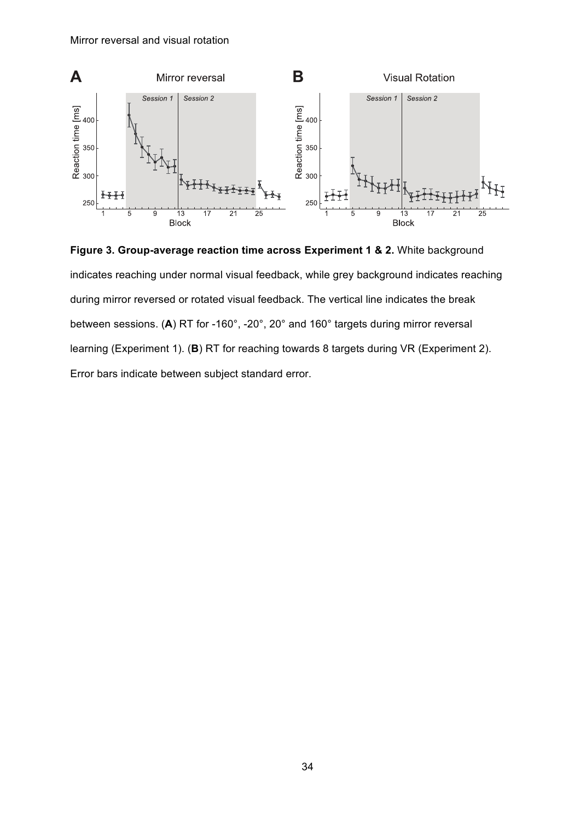

**Figure 3. Group-average reaction time across Experiment 1 & 2.** White background indicates reaching under normal visual feedback, while grey background indicates reaching during mirror reversed or rotated visual feedback. The vertical line indicates the break between sessions. (**A**) RT for -160°, -20°, 20° and 160° targets during mirror reversal learning (Experiment 1). (**B**) RT for reaching towards 8 targets during VR (Experiment 2). Error bars indicate between subject standard error.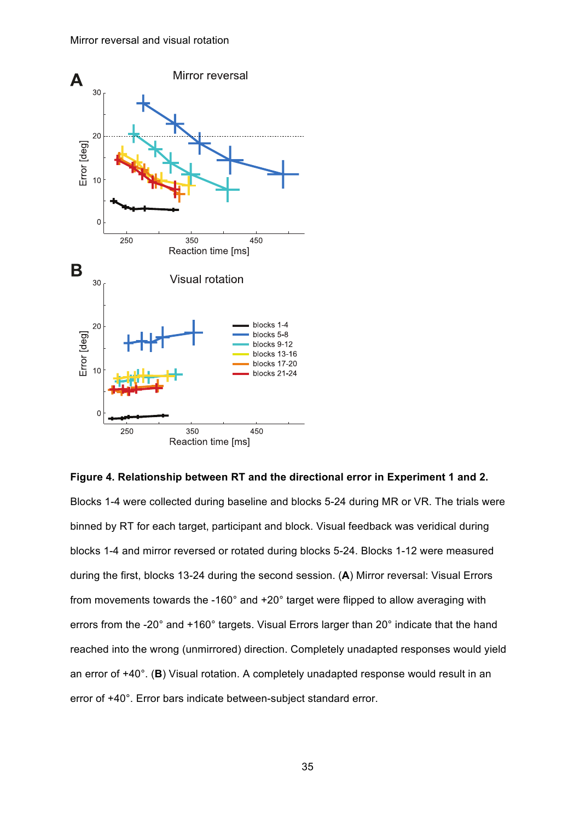

**Figure 4. Relationship between RT and the directional error in Experiment 1 and 2.** Blocks 1-4 were collected during baseline and blocks 5-24 during MR or VR. The trials were binned by RT for each target, participant and block. Visual feedback was veridical during blocks 1-4 and mirror reversed or rotated during blocks 5-24. Blocks 1-12 were measured during the first, blocks 13-24 during the second session. (**A**) Mirror reversal: Visual Errors from movements towards the -160° and +20° target were flipped to allow averaging with errors from the -20° and +160° targets. Visual Errors larger than 20° indicate that the hand reached into the wrong (unmirrored) direction. Completely unadapted responses would yield an error of +40°. (**B**) Visual rotation. A completely unadapted response would result in an error of +40°. Error bars indicate between-subject standard error.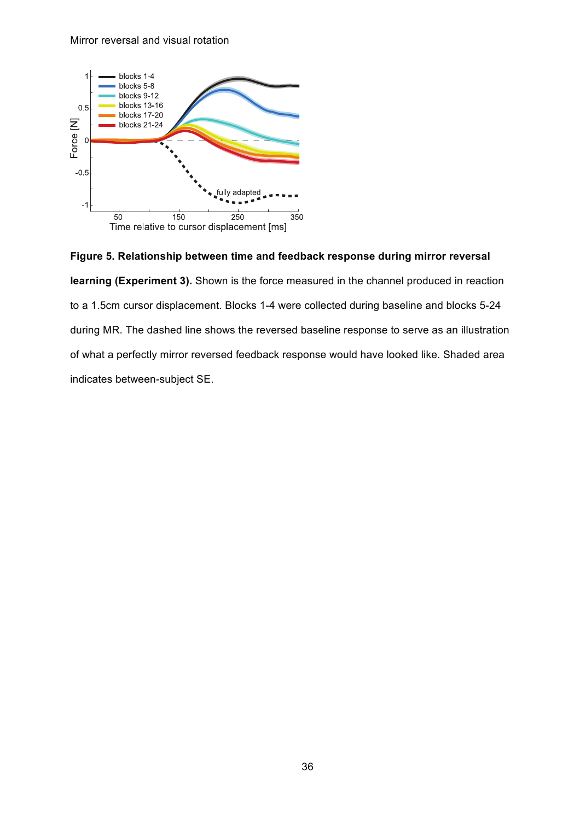

**Figure 5. Relationship between time and feedback response during mirror reversal learning (Experiment 3).** Shown is the force measured in the channel produced in reaction to a 1.5cm cursor displacement. Blocks 1-4 were collected during baseline and blocks 5-24 during MR. The dashed line shows the reversed baseline response to serve as an illustration of what a perfectly mirror reversed feedback response would have looked like. Shaded area indicates between-subject SE.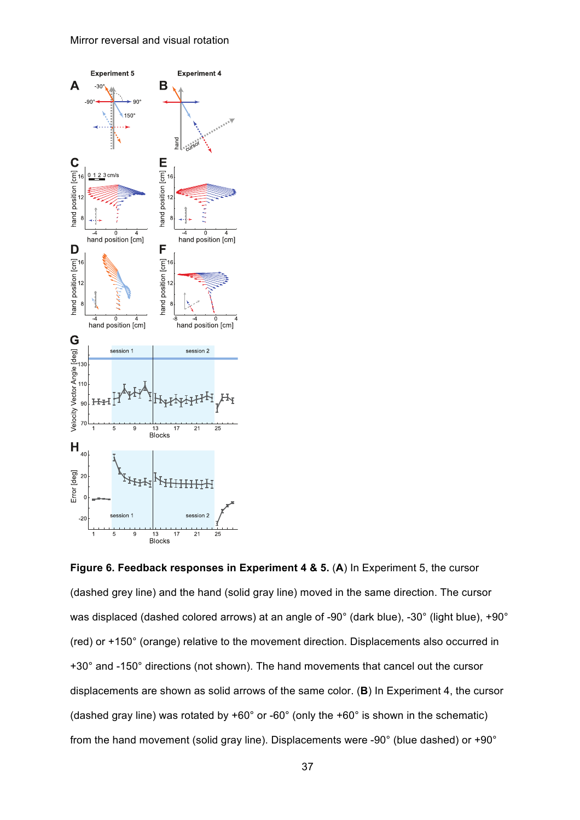

**Figure 6. Feedback responses in Experiment 4 & 5.** (**A**) In Experiment 5, the cursor (dashed grey line) and the hand (solid gray line) moved in the same direction. The cursor was displaced (dashed colored arrows) at an angle of -90° (dark blue), -30° (light blue), +90° (red) or +150° (orange) relative to the movement direction. Displacements also occurred in +30° and -150° directions (not shown). The hand movements that cancel out the cursor displacements are shown as solid arrows of the same color. (**B**) In Experiment 4, the cursor (dashed gray line) was rotated by +60° or -60° (only the +60° is shown in the schematic) from the hand movement (solid gray line). Displacements were -90° (blue dashed) or +90°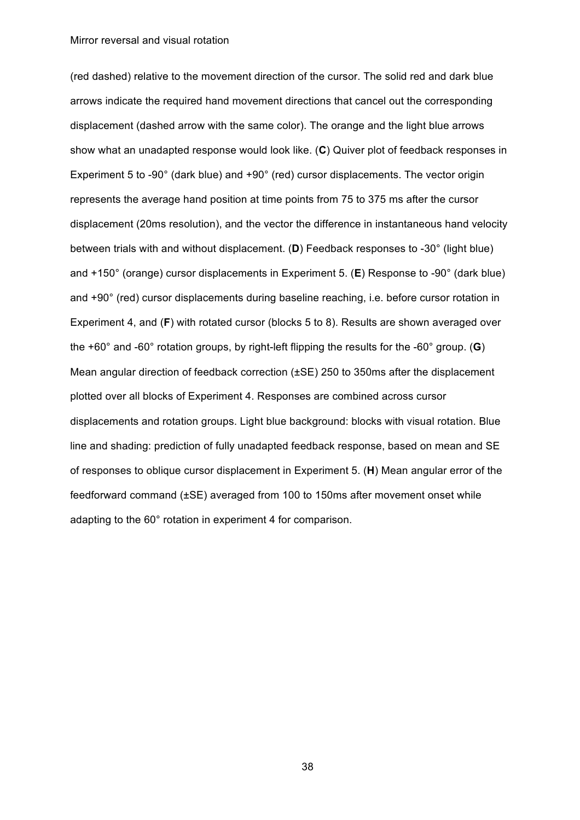(red dashed) relative to the movement direction of the cursor. The solid red and dark blue arrows indicate the required hand movement directions that cancel out the corresponding displacement (dashed arrow with the same color). The orange and the light blue arrows show what an unadapted response would look like. (**C**) Quiver plot of feedback responses in Experiment 5 to -90° (dark blue) and +90° (red) cursor displacements. The vector origin represents the average hand position at time points from 75 to 375 ms after the cursor displacement (20ms resolution), and the vector the difference in instantaneous hand velocity between trials with and without displacement. (**D**) Feedback responses to -30° (light blue) and +150° (orange) cursor displacements in Experiment 5. (**E**) Response to -90° (dark blue) and +90° (red) cursor displacements during baseline reaching, i.e. before cursor rotation in Experiment 4, and (**F**) with rotated cursor (blocks 5 to 8). Results are shown averaged over the +60° and -60° rotation groups, by right-left flipping the results for the -60° group. (**G**) Mean angular direction of feedback correction (±SE) 250 to 350ms after the displacement plotted over all blocks of Experiment 4. Responses are combined across cursor displacements and rotation groups. Light blue background: blocks with visual rotation. Blue line and shading: prediction of fully unadapted feedback response, based on mean and SE of responses to oblique cursor displacement in Experiment 5. (**H**) Mean angular error of the feedforward command (±SE) averaged from 100 to 150ms after movement onset while adapting to the 60° rotation in experiment 4 for comparison.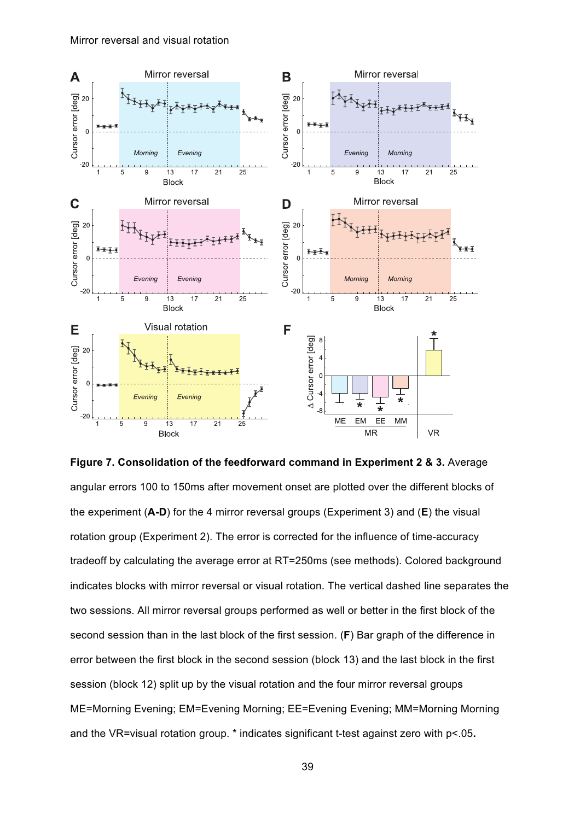

**Figure 7. Consolidation of the feedforward command in Experiment 2 & 3.** Average angular errors 100 to 150ms after movement onset are plotted over the different blocks of the experiment (**A-D**) for the 4 mirror reversal groups (Experiment 3) and (**E**) the visual rotation group (Experiment 2). The error is corrected for the influence of time-accuracy tradeoff by calculating the average error at RT=250ms (see methods). Colored background indicates blocks with mirror reversal or visual rotation. The vertical dashed line separates the two sessions. All mirror reversal groups performed as well or better in the first block of the second session than in the last block of the first session. (**F**) Bar graph of the difference in error between the first block in the second session (block 13) and the last block in the first session (block 12) split up by the visual rotation and the four mirror reversal groups ME=Morning Evening; EM=Evening Morning; EE=Evening Evening; MM=Morning Morning and the VR=visual rotation group. \* indicates significant t-test against zero with p<.05**.**